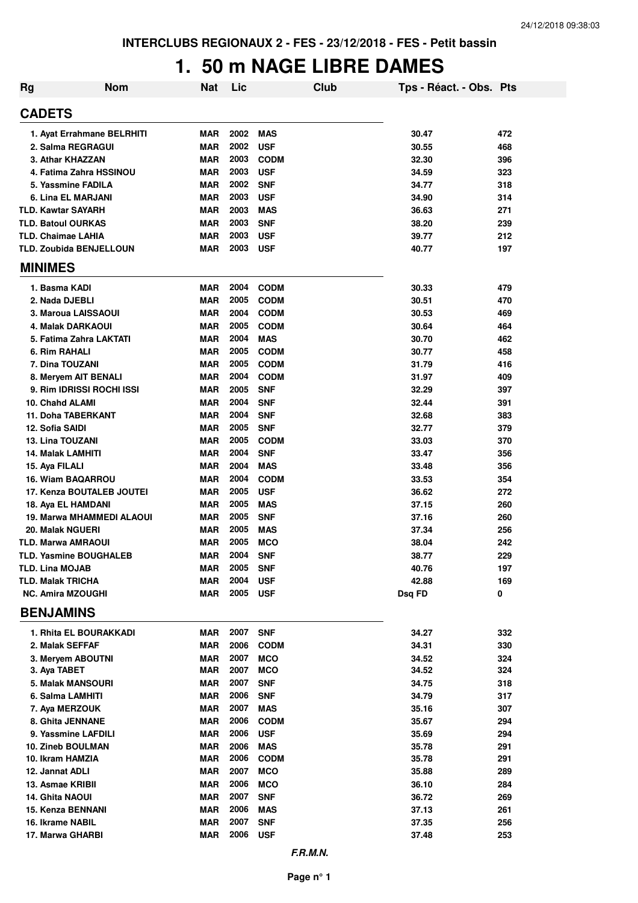## **1. 50 m NAGE LIBRE DAMES**

| <b>Rg</b> | <b>Nom</b>                                         | <b>Nat</b>               | Lic          |                          | Club | Tps - Réact. - Obs. Pts |            |
|-----------|----------------------------------------------------|--------------------------|--------------|--------------------------|------|-------------------------|------------|
|           | <b>CADETS</b>                                      |                          |              |                          |      |                         |            |
|           | 1. Ayat Errahmane BELRHITI                         | MAR                      | 2002         | <b>MAS</b>               |      | 30.47                   | 472        |
|           | 2. Salma REGRAGUI                                  | <b>MAR</b>               | 2002         | <b>USF</b>               |      | 30.55                   | 468        |
|           | 3. Athar KHAZZAN                                   | <b>MAR</b>               | 2003         | <b>CODM</b>              |      | 32.30                   | 396        |
|           | 4. Fatima Zahra HSSINOU                            | <b>MAR</b>               | 2003         | <b>USF</b>               |      | 34.59                   | 323        |
|           | 5. Yassmine FADILA                                 | <b>MAR</b>               | 2002         | <b>SNF</b>               |      | 34.77                   | 318        |
|           | 6. Lina EL MARJANI                                 | <b>MAR</b>               | 2003         | <b>USF</b>               |      | 34.90                   | 314        |
|           | <b>TLD. Kawtar SAYARH</b>                          | <b>MAR</b>               | 2003         | <b>MAS</b>               |      | 36.63                   | 271        |
|           | <b>TLD. Batoul OURKAS</b>                          | <b>MAR</b>               | 2003         | <b>SNF</b>               |      | 38.20                   | 239        |
|           | <b>TLD. Chaimae LAHIA</b>                          | <b>MAR</b>               | 2003         | <b>USF</b>               |      | 39.77                   | 212        |
|           | TLD. Zoubida BENJELLOUN                            | <b>MAR</b>               | 2003         | <b>USF</b>               |      | 40.77                   | 197        |
|           | <b>MINIMES</b>                                     |                          |              |                          |      |                         |            |
|           | 1. Basma KADI                                      | <b>MAR</b>               | 2004         | <b>CODM</b>              |      | 30.33                   | 479        |
|           | 2. Nada DJEBLI                                     | <b>MAR</b>               | 2005         | <b>CODM</b>              |      | 30.51                   | 470        |
|           | 3. Maroua LAISSAOUI                                | <b>MAR</b>               | 2004         | <b>CODM</b>              |      | 30.53                   | 469        |
|           | 4. Malak DARKAOUI                                  | <b>MAR</b>               | 2005         | <b>CODM</b>              |      | 30.64                   | 464        |
|           | 5. Fatima Zahra LAKTATI                            | <b>MAR</b>               | 2004         | <b>MAS</b>               |      | 30.70                   | 462        |
|           | 6. Rim RAHALI                                      | <b>MAR</b>               | 2005         | <b>CODM</b>              |      | 30.77                   | 458        |
|           | 7. Dina TOUZANI                                    | <b>MAR</b>               | 2005         | <b>CODM</b>              |      | 31.79                   | 416        |
|           | 8. Meryem AIT BENALI                               | <b>MAR</b>               | 2004         | <b>CODM</b>              |      | 31.97                   | 409        |
|           | 9. Rim IDRISSI ROCHI ISSI                          | <b>MAR</b>               | 2005         | <b>SNF</b>               |      | 32.29                   | 397        |
|           | 10. Chahd ALAMI                                    | <b>MAR</b>               | 2004         | <b>SNF</b>               |      | 32.44                   | 391        |
|           | 11. Doha TABERKANT                                 | <b>MAR</b>               | 2004         | <b>SNF</b>               |      | 32.68                   | 383        |
|           | 12. Sofia SAIDI                                    | <b>MAR</b>               | 2005         | <b>SNF</b>               |      | 32.77                   | 379        |
|           | <b>13. Lina TOUZANI</b>                            | <b>MAR</b>               | 2005         | <b>CODM</b>              |      | 33.03                   | 370        |
|           | 14. Malak LAMHITI                                  | <b>MAR</b>               | 2004         | <b>SNF</b>               |      | 33.47                   | 356        |
|           | 15. Aya FILALI                                     | <b>MAR</b>               | 2004         | <b>MAS</b>               |      | 33.48                   | 356        |
|           | 16. Wiam BAQARROU                                  | <b>MAR</b>               | 2004         | <b>CODM</b>              |      | 33.53                   | 354        |
|           | 17. Kenza BOUTALEB JOUTEI                          | <b>MAR</b>               | 2005         | <b>USF</b>               |      | 36.62                   | 272        |
|           | 18. Aya EL HAMDANI                                 | <b>MAR</b>               | 2005         | <b>MAS</b>               |      | 37.15                   | 260        |
|           | 19. Marwa MHAMMEDI ALAOUI                          | <b>MAR</b>               | 2005         | <b>SNF</b>               |      | 37.16                   | 260        |
|           | 20. Malak NGUERI                                   | <b>MAR</b>               | 2005         | <b>MAS</b>               |      | 37.34                   | 256        |
|           | <b>TLD. Marwa AMRAOUI</b>                          | <b>MAR</b>               | 2005         | <b>MCO</b>               |      | 38.04                   | 242        |
|           | TLD. Yasmine BOUGHALEB                             | <b>MAR</b>               | 2004<br>2005 | <b>SNF</b>               |      | 38.77                   | 229        |
|           | <b>TLD. Lina MOJAB</b><br><b>TLD. Malak TRICHA</b> | <b>MAR</b><br><b>MAR</b> | 2004         | <b>SNF</b>               |      | 40.76<br>42.88          | 197        |
|           |                                                    |                          | 2005         | <b>USF</b>               |      |                         | 169        |
|           | <b>NC. Amira MZOUGHI</b><br><b>BENJAMINS</b>       | <b>MAR</b>               |              | <b>USF</b>               |      | Dsq FD                  | 0          |
|           |                                                    |                          |              |                          |      |                         |            |
|           | 1. Rhita EL BOURAKKADI                             | <b>MAR</b>               | 2007         | <b>SNF</b>               |      | 34.27                   | 332        |
|           | 2. Malak SEFFAF                                    | <b>MAR</b>               | 2006         | <b>CODM</b>              |      | 34.31                   | 330        |
|           | 3. Meryem ABOUTNI                                  | <b>MAR</b><br><b>MAR</b> | 2007<br>2007 | <b>MCO</b>               |      | 34.52                   | 324        |
|           | 3. Aya TABET                                       |                          | 2007         | <b>MCO</b>               |      | 34.52                   | 324        |
|           | <b>5. Malak MANSOURI</b><br>6. Salma LAMHITI       | MAR<br><b>MAR</b>        | 2006         | <b>SNF</b>               |      | 34.75                   | 318        |
|           |                                                    | MAR                      | 2007         | <b>SNF</b><br><b>MAS</b> |      | 34.79<br>35.16          | 317<br>307 |
|           | 7. Aya MERZOUK<br>8. Ghita JENNANE                 | <b>MAR</b>               | 2006         | <b>CODM</b>              |      | 35.67                   | 294        |
|           | 9. Yassmine LAFDILI                                | <b>MAR</b>               | 2006         | <b>USF</b>               |      | 35.69                   | 294        |
|           | 10. Zineb BOULMAN                                  | <b>MAR</b>               | 2006         | <b>MAS</b>               |      | 35.78                   | 291        |
|           | 10. Ikram HAMZIA                                   | MAR                      | 2006         | <b>CODM</b>              |      | 35.78                   | 291        |
|           | 12. Jannat ADLI                                    | MAR                      | 2007         | <b>MCO</b>               |      | 35.88                   | 289        |
|           | 13. Asmae KRIBII                                   | <b>MAR</b>               | 2006         | <b>MCO</b>               |      | 36.10                   | 284        |
|           | 14. Ghita NAOUI                                    | <b>MAR</b>               | 2007         | <b>SNF</b>               |      | 36.72                   | 269        |
|           | 15. Kenza BENNANI                                  | <b>MAR</b>               | 2006         | <b>MAS</b>               |      | 37.13                   | 261        |
|           | 16. Ikrame NABIL                                   | <b>MAR</b>               | 2007         | <b>SNF</b>               |      | 37.35                   | 256        |
|           | 17. Marwa GHARBI                                   | <b>MAR</b>               | 2006         | <b>USF</b>               |      | 37.48                   | 253        |
|           |                                                    |                          |              |                          |      |                         |            |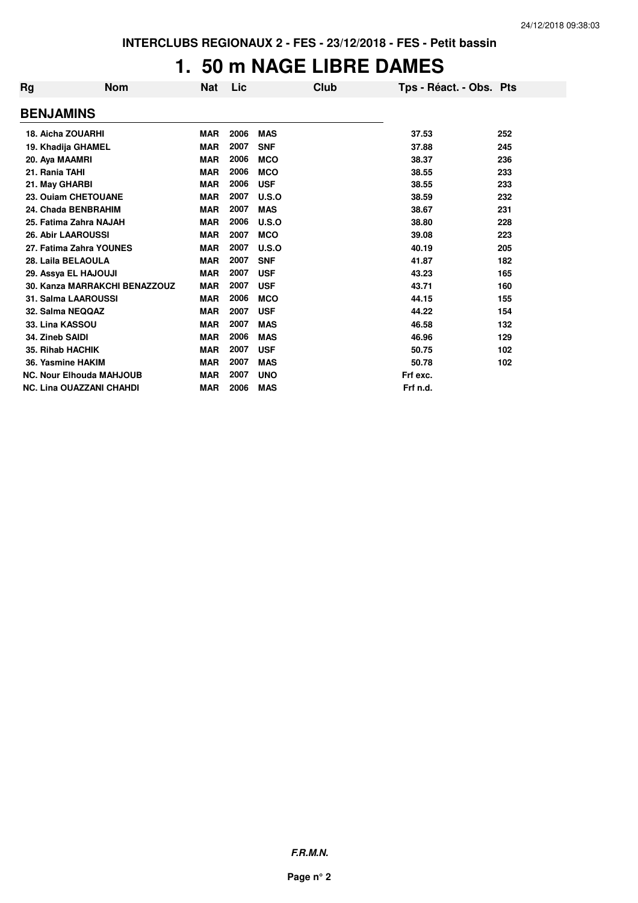## **1. 50 m NAGE LIBRE DAMES**

| Rg | <b>Nom</b>                      | Nat        | Lic  |            | Club | Tps - Réact. - Obs. Pts |     |
|----|---------------------------------|------------|------|------------|------|-------------------------|-----|
|    | <b>BENJAMINS</b>                |            |      |            |      |                         |     |
|    | <b>18. Aicha ZOUARHI</b>        | <b>MAR</b> | 2006 | <b>MAS</b> |      | 37.53                   | 252 |
|    | 19. Khadija GHAMEL              | <b>MAR</b> | 2007 | <b>SNF</b> |      | 37.88                   | 245 |
|    | 20. Aya MAAMRI                  | <b>MAR</b> | 2006 | <b>MCO</b> |      | 38.37                   | 236 |
|    | 21. Rania TAHI                  | <b>MAR</b> | 2006 | <b>MCO</b> |      | 38.55                   | 233 |
|    | 21. May GHARBI                  | <b>MAR</b> | 2006 | <b>USF</b> |      | 38.55                   | 233 |
|    | 23. Ouiam CHETOUANE             | <b>MAR</b> | 2007 | U.S.O      |      | 38.59                   | 232 |
|    | 24. Chada BENBRAHIM             | <b>MAR</b> | 2007 | <b>MAS</b> |      | 38.67                   | 231 |
|    | 25. Fatima Zahra NAJAH          | <b>MAR</b> | 2006 | U.S.O      |      | 38.80                   | 228 |
|    | <b>26. Abir LAAROUSSI</b>       | <b>MAR</b> | 2007 | <b>MCO</b> |      | 39.08                   | 223 |
|    | 27. Fatima Zahra YOUNES         | <b>MAR</b> | 2007 | U.S.O      |      | 40.19                   | 205 |
|    | 28. Laila BELAOULA              | <b>MAR</b> | 2007 | <b>SNF</b> |      | 41.87                   | 182 |
|    | 29. Assya EL HAJOUJI            | <b>MAR</b> | 2007 | <b>USF</b> |      | 43.23                   | 165 |
|    | 30. Kanza MARRAKCHI BENAZZOUZ   | <b>MAR</b> | 2007 | <b>USF</b> |      | 43.71                   | 160 |
|    | <b>31. Salma LAAROUSSI</b>      | <b>MAR</b> | 2006 | <b>MCO</b> |      | 44.15                   | 155 |
|    | 32. Salma NEQQAZ                | <b>MAR</b> | 2007 | <b>USF</b> |      | 44.22                   | 154 |
|    | 33. Lina KASSOU                 | <b>MAR</b> | 2007 | <b>MAS</b> |      | 46.58                   | 132 |
|    | 34. Zineb SAIDI                 | <b>MAR</b> | 2006 | <b>MAS</b> |      | 46.96                   | 129 |
|    | <b>35. Rihab HACHIK</b>         | <b>MAR</b> | 2007 | <b>USF</b> |      | 50.75                   | 102 |
|    | 36. Yasmine HAKIM               | <b>MAR</b> | 2007 | <b>MAS</b> |      | 50.78                   | 102 |
|    | <b>NC. Nour Elhouda MAHJOUB</b> | <b>MAR</b> | 2007 | <b>UNO</b> |      | Frf exc.                |     |
|    | <b>NC. Lina OUAZZANI CHAHDI</b> | <b>MAR</b> | 2006 | <b>MAS</b> |      | Frf n.d.                |     |

**F.R.M.N.**

**Page n° 2**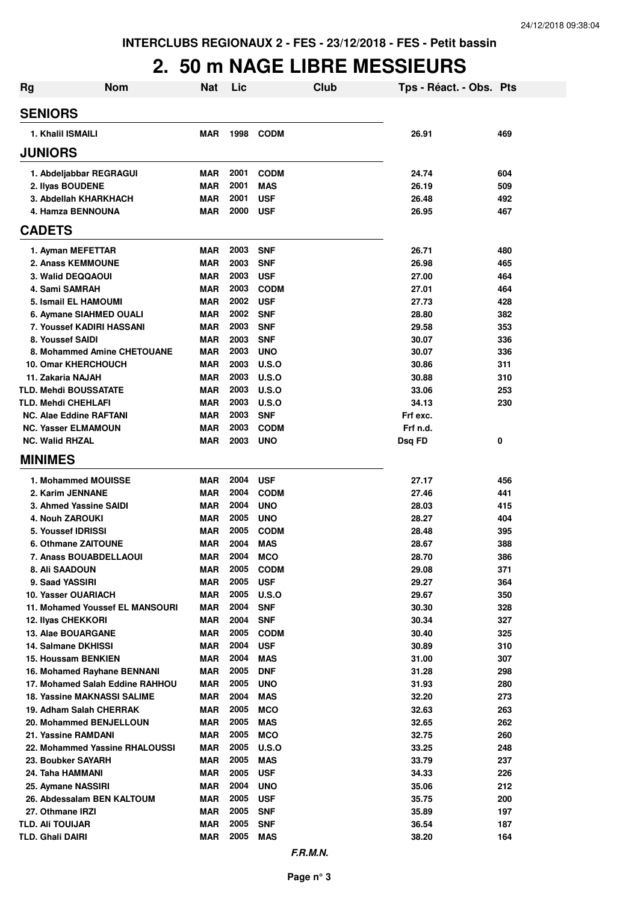## **2. 50 m NAGE LIBRE MESSIEURS**

| <b>Rg</b> | <b>Nom</b>                                            | <b>Nat</b> | Lic          |                          | Club | Tps - Réact. - Obs. Pts |            |
|-----------|-------------------------------------------------------|------------|--------------|--------------------------|------|-------------------------|------------|
|           | <b>SENIORS</b>                                        |            |              |                          |      |                         |            |
|           | 1. Khalil ISMAILI                                     | <b>MAR</b> | 1998         | <b>CODM</b>              |      | 26.91                   | 469        |
|           | <b>JUNIORS</b>                                        |            |              |                          |      |                         |            |
|           | 1. Abdeljabbar REGRAGUI                               | MAR        | 2001         | <b>CODM</b>              |      | 24.74                   | 604        |
|           | 2. Ilyas BOUDENE                                      | <b>MAR</b> | 2001         | <b>MAS</b>               |      | 26.19                   | 509        |
|           | 3. Abdellah KHARKHACH                                 | MAR        | 2001         | USF                      |      | 26.48                   | 492        |
|           | 4. Hamza BENNOUNA                                     | MAR        | 2000         | <b>USF</b>               |      | 26.95                   | 467        |
|           | <b>CADETS</b>                                         |            |              |                          |      |                         |            |
|           | 1. Ayman MEFETTAR                                     | <b>MAR</b> | 2003         | <b>SNF</b>               |      | 26.71                   | 480        |
|           | <b>2. Anass KEMMOUNE</b>                              | <b>MAR</b> | 2003         | <b>SNF</b>               |      | 26.98                   | 465        |
|           | 3. Walid DEQQAOUI                                     | <b>MAR</b> | 2003         | <b>USF</b>               |      | 27.00                   | 464        |
|           | 4. Sami SAMRAH                                        | <b>MAR</b> | 2003         | <b>CODM</b>              |      | 27.01                   | 464        |
|           | 5. Ismail EL HAMOUMI                                  | <b>MAR</b> | 2002         | <b>USF</b>               |      | 27.73                   | 428        |
|           | 6. Aymane SIAHMED OUALI                               | MAR        | 2002         | <b>SNF</b>               |      | 28.80                   | 382        |
|           | <b>7. Youssef KADIRI HASSANI</b>                      | MAR        | 2003         | <b>SNF</b>               |      | 29.58                   | 353        |
|           | 8. Youssef SAIDI                                      | <b>MAR</b> | 2003         | <b>SNF</b>               |      | 30.07                   | 336        |
|           | 8. Mohammed Amine CHETOUANE                           | MAR        | 2003         | <b>UNO</b>               |      | 30.07                   | 336        |
|           | <b>10. Omar KHERCHOUCH</b>                            | <b>MAR</b> | 2003         | U.S.O                    |      | 30.86                   | 311        |
|           | 11. Zakaria NAJAH                                     | <b>MAR</b> | 2003         | U.S.O                    |      | 30.88                   | 310        |
|           | <b>TLD. Mehdi BOUSSATATE</b>                          | MAR        | 2003         | U.S.O                    |      | 33.06                   | 253        |
|           | <b>TLD. Mehdi CHEHLAFI</b>                            | <b>MAR</b> | 2003         | U.S.O                    |      | 34.13                   | 230        |
|           | <b>NC. Alae Eddine RAFTANI</b>                        | <b>MAR</b> | 2003         | <b>SNF</b>               |      | Frf exc.                |            |
|           | <b>NC. Yasser ELMAMOUN</b>                            | MAR        | 2003         | <b>CODM</b>              |      | Frf n.d.                |            |
|           | <b>NC. Walid RHZAL</b>                                | MAR        | 2003         | <b>UNO</b>               |      | Dsq FD                  | 0          |
|           | <b>MINIMES</b>                                        |            |              |                          |      |                         |            |
|           | 1. Mohammed MOUISSE                                   | <b>MAR</b> | 2004         | <b>USF</b>               |      | 27.17                   | 456        |
|           | 2. Karim JENNANE                                      | <b>MAR</b> | 2004         | <b>CODM</b>              |      | 27.46                   | 441        |
|           | 3. Ahmed Yassine SAIDI                                | <b>MAR</b> | 2004         | <b>UNO</b>               |      | 28.03                   | 415        |
|           | 4. Nouh ZAROUKI                                       | <b>MAR</b> | 2005         | <b>UNO</b>               |      | 28.27                   | 404        |
|           | 5. Youssef IDRISSI                                    | MAR        | 2005         | <b>CODM</b>              |      | 28.48                   | 395        |
|           | 6. Othmane ZAITOUNE                                   | MAR        | 2004         | <b>MAS</b>               |      | 28.67                   | 388        |
|           | 7. Anass BOUABDELLAOUI                                | MAR        | 2004         | <b>MCO</b>               |      | 28.70                   | 386        |
|           | 8. Ali SAADOUN                                        | MAR        | 2005         | <b>CODM</b>              |      | 29.08                   | 371        |
|           | 9. Saad YASSIRI                                       | <b>MAR</b> | 2005         | <b>USF</b>               |      | 29.27                   | 364        |
|           | 10. Yasser OUARIACH                                   | <b>MAR</b> | 2005         | <b>U.S.O</b>             |      | 29.67                   | 350        |
|           | 11. Mohamed Youssef EL MANSOURI                       | MAR        | 2004         | <b>SNF</b>               |      | 30.30                   | 328        |
|           | <b>12. Ilyas CHEKKORI</b>                             | MAR        | 2004         | <b>SNF</b>               |      | 30.34                   | 327        |
|           | 13. Alae BOUARGANE                                    | MAR        | 2005         | <b>CODM</b>              |      | 30.40                   | 325        |
|           | 14. Salmane DKHISSI                                   | MAR        | 2004         | <b>USF</b>               |      | 30.89                   | 310        |
|           | 15. Houssam BENKIEN                                   | MAR        | 2004         | <b>MAS</b>               |      | 31.00                   | 307        |
|           | 16. Mohamed Rayhane BENNANI                           | MAR        | 2005         | <b>DNF</b>               |      | 31.28                   | 298        |
|           | 17. Mohamed Salah Eddine RAHHOU                       | MAR        | 2005         | <b>UNO</b>               |      | 31.93                   | 280        |
|           | <b>18. Yassine MAKNASSI SALIME</b>                    | MAR        | 2004<br>2005 | <b>MAS</b>               |      | 32.20                   | 273        |
|           | 19. Adham Salah CHERRAK                               | MAR        | 2005         | <b>MCO</b>               |      | 32.63                   | 263        |
|           | 20. Mohammed BENJELLOUN                               | MAR<br>MAR | 2005         | <b>MAS</b><br><b>MCO</b> |      | 32.65                   | 262<br>260 |
|           | 21. Yassine RAMDANI<br>22. Mohammed Yassine RHALOUSSI | <b>MAR</b> | 2005         | <b>U.S.O</b>             |      | 32.75<br>33.25          | 248        |
|           | 23. Boubker SAYARH                                    | <b>MAR</b> | 2005         | <b>MAS</b>               |      | 33.79                   | 237        |
|           | 24. Taha HAMMANI                                      | <b>MAR</b> | 2005         | <b>USF</b>               |      | 34.33                   | 226        |
|           | 25. Aymane NASSIRI                                    | MAR        | 2004         | <b>UNO</b>               |      | 35.06                   | 212        |
|           | 26. Abdessalam BEN KALTOUM                            | <b>MAR</b> | 2005         | <b>USF</b>               |      | 35.75                   | 200        |
|           | 27. Othmane IRZI                                      | <b>MAR</b> | 2005         | <b>SNF</b>               |      | 35.89                   | 197        |
|           | <b>TLD. AII TOUIJAR</b>                               | <b>MAR</b> | 2005         | <b>SNF</b>               |      | 36.54                   | 187        |
|           | <b>TLD. Ghali DAIRI</b>                               | MAR        | 2005         | <b>MAS</b>               |      | 38.20                   | 164        |
|           |                                                       |            |              |                          |      |                         |            |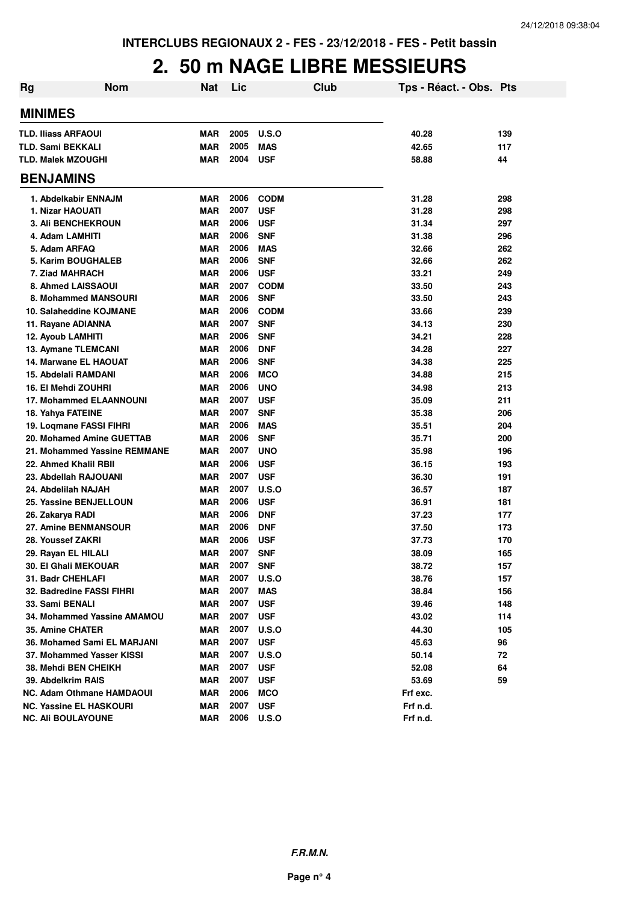#### **2. 50 m NAGE LIBRE MESSIEURS**

| <b>Rg</b>                                     | <b>Nom</b>                   | <b>Nat</b>        | Lic          |                          | Club | Tps - Réact. - Obs. Pts |            |
|-----------------------------------------------|------------------------------|-------------------|--------------|--------------------------|------|-------------------------|------------|
| <b>MINIMES</b>                                |                              |                   |              |                          |      |                         |            |
| <b>TLD. Iliass ARFAOUI</b>                    |                              | MAR               | 2005         | U.S.O                    |      | 40.28                   | 139        |
| <b>TLD. Sami BEKKALI</b>                      |                              | MAR               | 2005         | <b>MAS</b>               |      | 42.65                   | 117        |
| <b>TLD. Malek MZOUGHI</b>                     |                              | MAR               | 2004         | <b>USF</b>               |      | 58.88                   | 44         |
| <b>BENJAMINS</b>                              |                              |                   |              |                          |      |                         |            |
|                                               |                              |                   |              |                          |      |                         |            |
| 1. Abdelkabir ENNAJM                          |                              | MAR               | 2006<br>2007 | <b>CODM</b>              |      | 31.28                   | 298        |
| 1. Nizar HAOUATI                              |                              | MAR               | 2006         | <b>USF</b>               |      | 31.28                   | 298        |
| 3. Ali BENCHEKROUN                            |                              | <b>MAR</b>        | 2006         | <b>USF</b><br><b>SNF</b> |      | 31.34                   | 297<br>296 |
| 4. Adam LAMHITI<br>5. Adam ARFAQ              |                              | MAR<br><b>MAR</b> | 2006         | <b>MAS</b>               |      | 31.38<br>32.66          | 262        |
| 5. Karim BOUGHALEB                            |                              | MAR               | 2006         | <b>SNF</b>               |      | 32.66                   | 262        |
|                                               |                              | <b>MAR</b>        | 2006         | <b>USF</b>               |      | 33.21                   | 249        |
| 7. Ziad MAHRACH                               |                              | <b>MAR</b>        | 2007         | <b>CODM</b>              |      | 33.50                   |            |
| 8. Ahmed LAISSAOUI<br>8. Mohammed MANSOURI    |                              | <b>MAR</b>        | 2006         | <b>SNF</b>               |      | 33.50                   | 243<br>243 |
| 10. Salaheddine KOJMANE                       |                              | MAR               | 2006         | <b>CODM</b>              |      | 33.66                   | 239        |
|                                               |                              | MAR               | 2007         | <b>SNF</b>               |      | 34.13                   | 230        |
| 11. Rayane ADIANNA<br>12. Ayoub LAMHITI       |                              | <b>MAR</b>        | 2006         | <b>SNF</b>               |      | 34.21                   | 228        |
|                                               |                              |                   | 2006         | <b>DNF</b>               |      |                         |            |
| 13. Aymane TLEMCANI                           |                              | MAR<br>MAR        | 2006         |                          |      | 34.28<br>34.38          | 227<br>225 |
| 14. Marwane EL HAOUAT<br>15. Abdelali RAMDANI |                              |                   | 2006         | <b>SNF</b><br><b>MCO</b> |      | 34.88                   |            |
|                                               |                              | <b>MAR</b>        | 2006         |                          |      |                         | 215        |
| 16. El Mehdi ZOUHRI                           |                              | <b>MAR</b>        |              | <b>UNO</b>               |      | 34.98                   | 213        |
| <b>17. Mohammed ELAANNOUNI</b>                |                              | MAR               | 2007         | <b>USF</b>               |      | 35.09                   | 211        |
| 18. Yahya FATEINE                             |                              | <b>MAR</b>        | 2007         | <b>SNF</b>               |      | 35.38                   | 206        |
| 19. Logmane FASSI FIHRI                       |                              | MAR               | 2006         | <b>MAS</b>               |      | 35.51                   | 204        |
| 20. Mohamed Amine GUETTAB                     |                              | MAR               | 2006         | <b>SNF</b>               |      | 35.71                   | 200        |
|                                               | 21. Mohammed Yassine REMMANE | <b>MAR</b>        | 2007         | <b>UNO</b>               |      | 35.98                   | 196        |
| 22. Ahmed Khalil RBII                         |                              | <b>MAR</b>        | 2006         | <b>USF</b>               |      | 36.15                   | 193        |
| 23. Abdellah RAJOUANI                         |                              | <b>MAR</b>        | 2007         | <b>USF</b>               |      | 36.30                   | 191        |
| 24. Abdelilah NAJAH                           |                              | <b>MAR</b>        | 2007         | U.S.O                    |      | 36.57                   | 187        |
| 25. Yassine BENJELLOUN                        |                              | <b>MAR</b>        | 2006         | <b>USF</b>               |      | 36.91                   | 181        |
| 26. Zakarya RADI                              |                              | <b>MAR</b>        | 2006         | <b>DNF</b>               |      | 37.23                   | 177        |
| 27. Amine BENMANSOUR                          |                              | <b>MAR</b>        | 2006         | <b>DNF</b>               |      | 37.50                   | 173        |
| 28. Youssef ZAKRI                             |                              | <b>MAR</b>        | 2006         | <b>USF</b>               |      | 37.73                   | 170        |
| 29. Rayan EL HILALI                           |                              | <b>MAR</b>        | 2007         | <b>SNF</b>               |      | 38.09                   | 165        |
| <b>30. El Ghali MEKOUAR</b>                   |                              | MAR               | 2007         | <b>SNF</b>               |      | 38.72                   | 157        |
| 31. Badr CHEHLAFI                             |                              | <b>MAR</b>        | 2007         | <b>U.S.O</b>             |      | 38.76                   | 157        |
| 32. Badredine FASSI FIHRI                     |                              | <b>MAR</b>        | 2007         | <b>MAS</b>               |      | 38.84                   | 156        |
| 33. Sami BENALI                               |                              | MAR               | 2007         | <b>USF</b>               |      | 39.46                   | 148        |
|                                               | 34. Mohammed Yassine AMAMOU  | <b>MAR</b>        | 2007         | <b>USF</b>               |      | 43.02                   | 114        |
| 35. Amine CHATER                              |                              | <b>MAR</b>        | 2007         | U.S.O                    |      | 44.30                   | 105        |
| 36. Mohamed Sami EL MARJANI                   |                              | MAR               | 2007         | <b>USF</b>               |      | 45.63                   | 96         |
| 37. Mohammed Yasser KISSI                     |                              | MAR               | 2007         | U.S.O                    |      | 50.14                   | 72         |
| 38. Mehdi BEN CHEIKH                          |                              | MAR               | 2007         | <b>USF</b>               |      | 52.08                   | 64         |
| 39. Abdelkrim RAIS                            |                              | MAR               | 2007         | <b>USF</b>               |      | 53.69                   | 59         |
| <b>NC. Adam Othmane HAMDAOUI</b>              |                              | MAR               | 2006         | <b>MCO</b>               |      | Frf exc.                |            |
| <b>NC. Yassine EL HASKOURI</b>                |                              | MAR               | 2007         | <b>USF</b>               |      | Frf n.d.                |            |
| <b>NC. Ali BOULAYOUNE</b>                     |                              | MAR               | 2006         | <b>U.S.O</b>             |      | Frf n.d.                |            |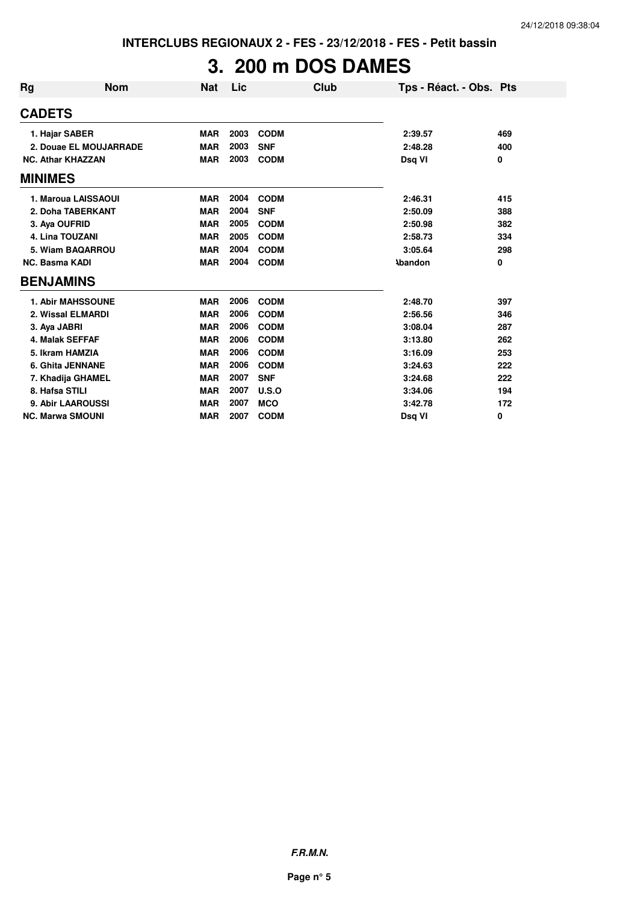# **3. 200 m DOS DAMES**

| Rg                    | <b>Nom</b>               | <b>Nat</b> | Lic  | Club        | Tps - Réact. - Obs. Pts |     |
|-----------------------|--------------------------|------------|------|-------------|-------------------------|-----|
| <b>CADETS</b>         |                          |            |      |             |                         |     |
|                       | 1. Hajar SABER           | <b>MAR</b> | 2003 | <b>CODM</b> | 2:39.57                 | 469 |
|                       | 2. Douae EL MOUJARRADE   | <b>MAR</b> | 2003 | <b>SNF</b>  | 2:48.28                 | 400 |
|                       | <b>NC. Athar KHAZZAN</b> | <b>MAR</b> | 2003 | <b>CODM</b> | Dsg VI                  | 0   |
| <b>MINIMES</b>        |                          |            |      |             |                         |     |
|                       | 1. Maroua LAISSAOUI      | <b>MAR</b> | 2004 | <b>CODM</b> | 2:46.31                 | 415 |
|                       | 2. Doha TABERKANT        | <b>MAR</b> | 2004 | <b>SNF</b>  | 2:50.09                 | 388 |
| 3. Aya OUFRID         |                          | <b>MAR</b> | 2005 | <b>CODM</b> | 2:50.98                 | 382 |
|                       | 4. Lina TOUZANI          | <b>MAR</b> | 2005 | <b>CODM</b> | 2:58.73                 | 334 |
|                       | 5. Wiam BAQARROU         | <b>MAR</b> | 2004 | <b>CODM</b> | 3:05.64                 | 298 |
| <b>NC. Basma KADI</b> |                          | <b>MAR</b> | 2004 | <b>CODM</b> | <b>Abandon</b>          | 0   |
| <b>BENJAMINS</b>      |                          |            |      |             |                         |     |
|                       | <b>1. Abir MAHSSOUNE</b> | <b>MAR</b> | 2006 | <b>CODM</b> | 2:48.70                 | 397 |
|                       | 2. Wissal ELMARDI        | <b>MAR</b> | 2006 | <b>CODM</b> | 2:56.56                 | 346 |
| 3. Ava JABRI          |                          | <b>MAR</b> | 2006 | <b>CODM</b> | 3:08.04                 | 287 |
|                       | 4. Malak SEFFAF          | <b>MAR</b> | 2006 | <b>CODM</b> | 3:13.80                 | 262 |
|                       | 5. Ikram HAMZIA          | <b>MAR</b> | 2006 | <b>CODM</b> | 3:16.09                 | 253 |
|                       | <b>6. Ghita JENNANE</b>  | <b>MAR</b> | 2006 | <b>CODM</b> | 3:24.63                 | 222 |
|                       | 7. Khadija GHAMEL        | <b>MAR</b> | 2007 | <b>SNF</b>  | 3:24.68                 | 222 |
| 8. Hafsa STILI        |                          | <b>MAR</b> | 2007 | U.S.O       | 3:34.06                 | 194 |
|                       | 9. Abir LAAROUSSI        | <b>MAR</b> | 2007 | <b>MCO</b>  | 3:42.78                 | 172 |
|                       | <b>NC. Marwa SMOUNI</b>  | <b>MAR</b> | 2007 | <b>CODM</b> | Dsg VI                  | 0   |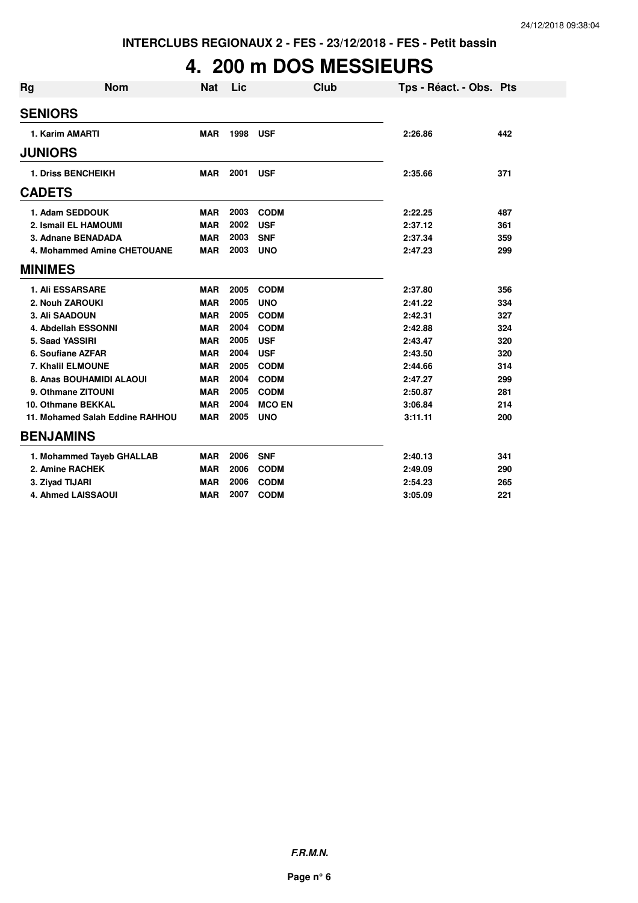## **4. 200 m DOS MESSIEURS**

| <b>Rg</b>      | <b>Nom</b>                      | <b>Nat</b> | Lic  | Club          | Tps - Réact. - Obs. Pts |     |
|----------------|---------------------------------|------------|------|---------------|-------------------------|-----|
| <b>SENIORS</b> |                                 |            |      |               |                         |     |
|                | 1. Karim AMARTI                 | <b>MAR</b> | 1998 | <b>USF</b>    | 2:26.86                 | 442 |
| <b>JUNIORS</b> |                                 |            |      |               |                         |     |
|                | <b>1. Driss BENCHEIKH</b>       | <b>MAR</b> | 2001 | <b>USF</b>    | 2:35.66                 | 371 |
| <b>CADETS</b>  |                                 |            |      |               |                         |     |
|                | 1. Adam SEDDOUK                 | <b>MAR</b> | 2003 | <b>CODM</b>   | 2:22.25                 | 487 |
|                | 2. Ismail EL HAMOUMI            | <b>MAR</b> | 2002 | <b>USF</b>    | 2:37.12                 | 361 |
|                | 3. Adnane BENADADA              | <b>MAR</b> | 2003 | <b>SNF</b>    | 2:37.34                 | 359 |
|                | 4. Mohammed Amine CHETOUANE     | <b>MAR</b> | 2003 | <b>UNO</b>    | 2:47.23                 | 299 |
| <b>MINIMES</b> |                                 |            |      |               |                         |     |
|                | <b>1. Ali ESSARSARE</b>         | <b>MAR</b> | 2005 | <b>CODM</b>   | 2:37.80                 | 356 |
|                | 2. Nouh ZAROUKI                 | <b>MAR</b> | 2005 | <b>UNO</b>    | 2:41.22                 | 334 |
|                | 3. Ali SAADOUN                  | <b>MAR</b> | 2005 | <b>CODM</b>   | 2:42.31                 | 327 |
|                | 4. Abdellah ESSONNI             | <b>MAR</b> | 2004 | <b>CODM</b>   | 2:42.88                 | 324 |
|                | 5. Saad YASSIRI                 | <b>MAR</b> | 2005 | <b>USF</b>    | 2:43.47                 | 320 |
|                | 6. Soufiane AZFAR               | <b>MAR</b> | 2004 | <b>USF</b>    | 2:43.50                 | 320 |
|                | 7. Khalil ELMOUNE               | <b>MAR</b> | 2005 | <b>CODM</b>   | 2:44.66                 | 314 |
|                | 8. Anas BOUHAMIDI ALAOUI        | <b>MAR</b> | 2004 | <b>CODM</b>   | 2:47.27                 | 299 |
|                | 9. Othmane ZITOUNI              | <b>MAR</b> | 2005 | <b>CODM</b>   | 2:50.87                 | 281 |
|                | <b>10. Othmane BEKKAL</b>       | <b>MAR</b> | 2004 | <b>MCO EN</b> | 3:06.84                 | 214 |
|                | 11. Mohamed Salah Eddine RAHHOU | <b>MAR</b> | 2005 | <b>UNO</b>    | 3:11.11                 | 200 |
|                | <b>BENJAMINS</b>                |            |      |               |                         |     |
|                | 1. Mohammed Tayeb GHALLAB       | <b>MAR</b> | 2006 | <b>SNF</b>    | 2:40.13                 | 341 |
|                | 2. Amine RACHEK                 | <b>MAR</b> | 2006 | <b>CODM</b>   | 2:49.09                 | 290 |
|                | 3. Ziyad TIJARI                 | <b>MAR</b> | 2006 | <b>CODM</b>   | 2:54.23                 | 265 |
|                | <b>4. Ahmed LAISSAOUI</b>       | <b>MAR</b> | 2007 | <b>CODM</b>   | 3:05.09                 | 221 |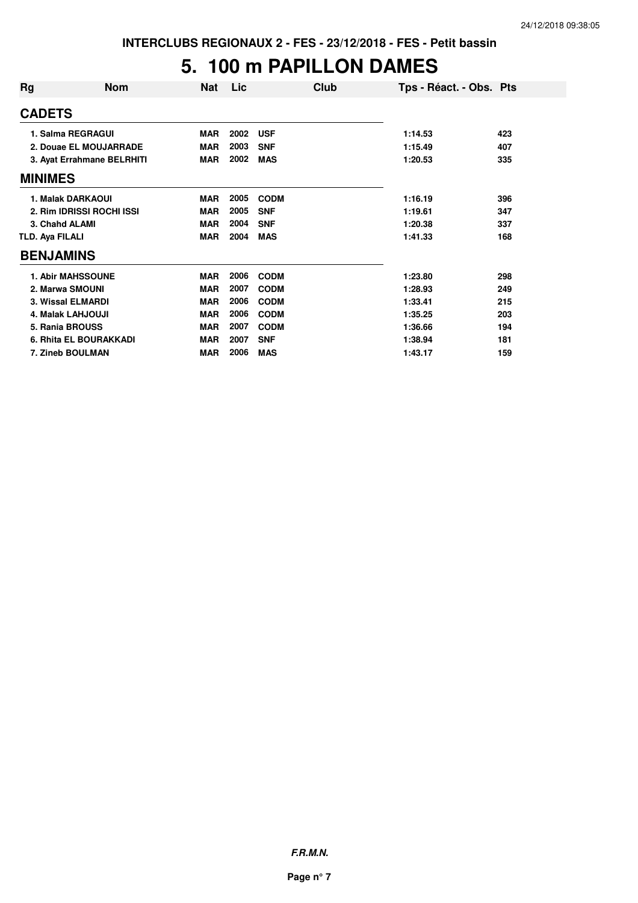## **5. 100 m PAPILLON DAMES**

| Rg              | <b>Nom</b>                 | <b>Nat</b> | Lic  | Club        | Tps - Réact. - Obs. Pts |     |
|-----------------|----------------------------|------------|------|-------------|-------------------------|-----|
| <b>CADETS</b>   |                            |            |      |             |                         |     |
|                 | 1. Salma REGRAGUI          | <b>MAR</b> | 2002 | <b>USF</b>  | 1:14.53                 | 423 |
|                 | 2. Douae EL MOUJARRADE     | <b>MAR</b> | 2003 | <b>SNF</b>  | 1:15.49                 | 407 |
|                 | 3. Ayat Errahmane BELRHITI | <b>MAR</b> | 2002 | <b>MAS</b>  | 1:20.53                 | 335 |
| <b>MINIMES</b>  |                            |            |      |             |                         |     |
|                 | 1. Malak DARKAOUI          | <b>MAR</b> | 2005 | <b>CODM</b> | 1:16.19                 | 396 |
|                 | 2. Rim IDRISSI ROCHI ISSI  | <b>MAR</b> | 2005 | <b>SNF</b>  | 1:19.61                 | 347 |
|                 | 3. Chahd ALAMI             | <b>MAR</b> | 2004 | <b>SNF</b>  | 1:20.38                 | 337 |
| TLD. Aya FILALI |                            | <b>MAR</b> | 2004 | <b>MAS</b>  | 1:41.33                 | 168 |
|                 | <b>BENJAMINS</b>           |            |      |             |                         |     |
|                 | <b>1. Abir MAHSSOUNE</b>   | <b>MAR</b> | 2006 | <b>CODM</b> | 1:23.80                 | 298 |
|                 | 2. Marwa SMOUNI            | <b>MAR</b> | 2007 | <b>CODM</b> | 1:28.93                 | 249 |
|                 | <b>3. Wissal ELMARDI</b>   | <b>MAR</b> | 2006 | <b>CODM</b> | 1:33.41                 | 215 |
|                 | <b>4. Malak LAHJOUJI</b>   | <b>MAR</b> | 2006 | <b>CODM</b> | 1:35.25                 | 203 |
|                 | 5. Rania BROUSS            | <b>MAR</b> | 2007 | <b>CODM</b> | 1:36.66                 | 194 |
|                 | 6. Rhita EL BOURAKKADI     | <b>MAR</b> | 2007 | <b>SNF</b>  | 1:38.94                 | 181 |
|                 | 7. Zineb BOULMAN           | <b>MAR</b> | 2006 | <b>MAS</b>  | 1:43.17                 | 159 |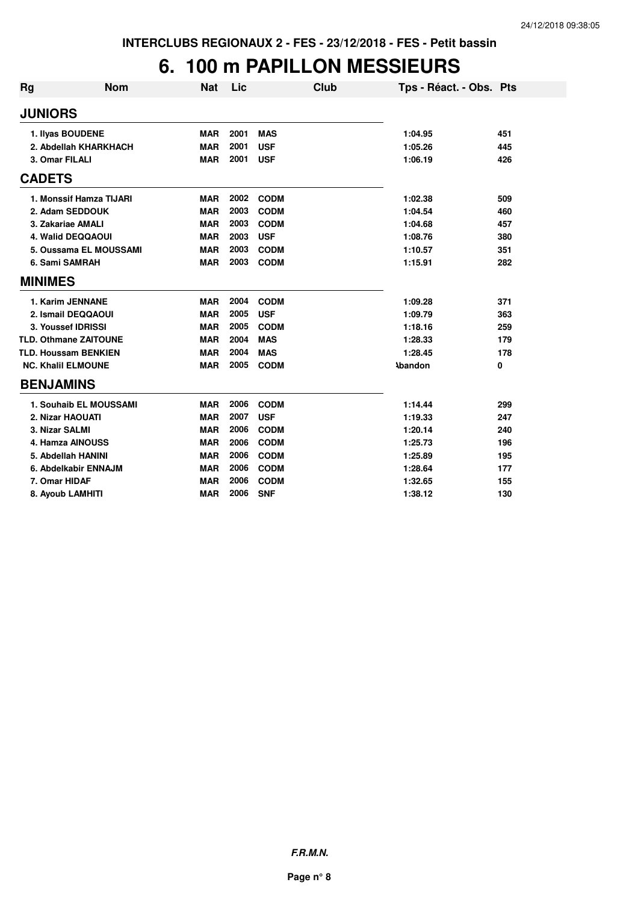## **6. 100 m PAPILLON MESSIEURS**

| <b>Rg</b> | <b>Nom</b>                   | <b>Nat</b> | Lic  | Club        | Tps - Réact. - Obs. Pts |     |
|-----------|------------------------------|------------|------|-------------|-------------------------|-----|
|           | <b>JUNIORS</b>               |            |      |             |                         |     |
|           | 1. Ilyas BOUDENE             | <b>MAR</b> | 2001 | <b>MAS</b>  | 1:04.95                 | 451 |
|           | 2. Abdellah KHARKHACH        | <b>MAR</b> | 2001 | <b>USF</b>  | 1:05.26                 | 445 |
|           | 3. Omar FILALI               | <b>MAR</b> | 2001 | <b>USF</b>  | 1:06.19                 | 426 |
|           | <b>CADETS</b>                |            |      |             |                         |     |
|           | 1. Monssif Hamza TIJARI      | <b>MAR</b> | 2002 | <b>CODM</b> | 1:02.38                 | 509 |
|           | 2. Adam SEDDOUK              | <b>MAR</b> | 2003 | <b>CODM</b> | 1:04.54                 | 460 |
|           | 3. Zakariae AMALI            | <b>MAR</b> | 2003 | <b>CODM</b> | 1:04.68                 | 457 |
|           | 4. Walid DEQQAOUI            | <b>MAR</b> | 2003 | <b>USF</b>  | 1:08.76                 | 380 |
|           | 5. Oussama EL MOUSSAMI       | <b>MAR</b> | 2003 | <b>CODM</b> | 1:10.57                 | 351 |
|           | 6. Sami SAMRAH               | <b>MAR</b> | 2003 | <b>CODM</b> | 1:15.91                 | 282 |
|           | <b>MINIMES</b>               |            |      |             |                         |     |
|           | 1. Karim JENNANE             | <b>MAR</b> | 2004 | <b>CODM</b> | 1:09.28                 | 371 |
|           | 2. Ismail DEQQAOUI           | <b>MAR</b> | 2005 | <b>USF</b>  | 1:09.79                 | 363 |
|           | 3. Youssef IDRISSI           | <b>MAR</b> | 2005 | <b>CODM</b> | 1:18.16                 | 259 |
|           | <b>TLD. Othmane ZAITOUNE</b> | <b>MAR</b> | 2004 | <b>MAS</b>  | 1:28.33                 | 179 |
|           | <b>TLD. Houssam BENKIEN</b>  | <b>MAR</b> | 2004 | <b>MAS</b>  | 1:28.45                 | 178 |
|           | <b>NC. Khalil ELMOUNE</b>    | <b>MAR</b> | 2005 | <b>CODM</b> | <b>Abandon</b>          | 0   |
|           | <b>BENJAMINS</b>             |            |      |             |                         |     |
|           | 1. Souhaib EL MOUSSAMI       | <b>MAR</b> | 2006 | <b>CODM</b> | 1:14.44                 | 299 |
|           | 2. Nizar HAOUATI             | <b>MAR</b> | 2007 | <b>USF</b>  | 1:19.33                 | 247 |
|           | 3. Nizar SALMI               | <b>MAR</b> | 2006 | <b>CODM</b> | 1:20.14                 | 240 |
|           | 4. Hamza AINOUSS             | <b>MAR</b> | 2006 | <b>CODM</b> | 1:25.73                 | 196 |
|           | 5. Abdellah HANINI           | <b>MAR</b> | 2006 | <b>CODM</b> | 1:25.89                 | 195 |
|           | 6. Abdelkabir ENNAJM         | <b>MAR</b> | 2006 | <b>CODM</b> | 1:28.64                 | 177 |
|           | 7. Omar HIDAF                | <b>MAR</b> | 2006 | <b>CODM</b> | 1:32.65                 | 155 |
|           | 8. Ayoub LAMHITI             | <b>MAR</b> | 2006 | <b>SNF</b>  | 1:38.12                 | 130 |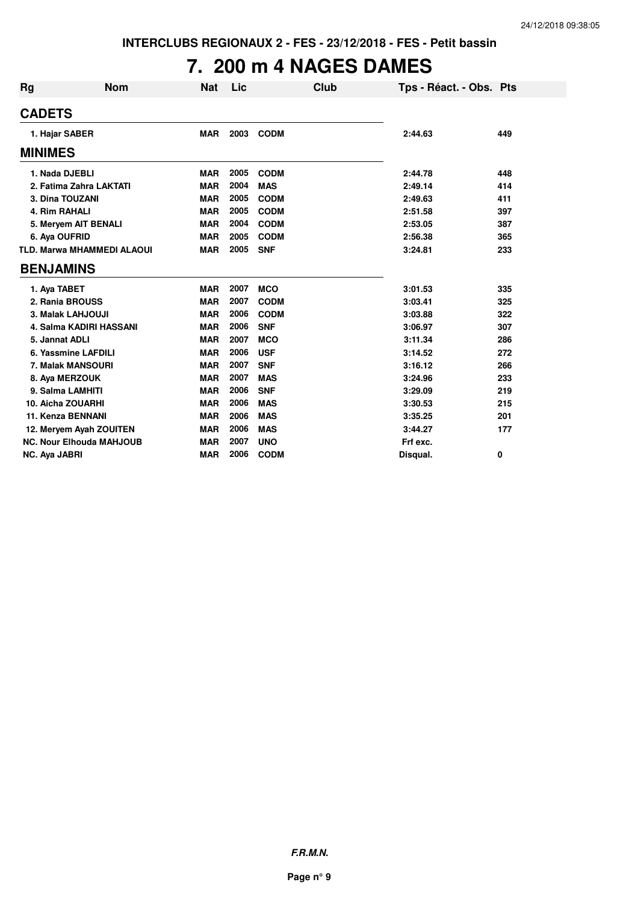# **7. 200 m 4 NAGES DAMES**

| <b>Rg</b><br><b>Nom</b>           | <b>Nat</b> | Lic  |             | Club | Tps - Réact. - Obs. Pts |     |
|-----------------------------------|------------|------|-------------|------|-------------------------|-----|
| <b>CADETS</b>                     |            |      |             |      |                         |     |
| 1. Hajar SABER                    | <b>MAR</b> | 2003 | <b>CODM</b> |      | 2:44.63                 | 449 |
| <b>MINIMES</b>                    |            |      |             |      |                         |     |
| 1. Nada DJEBLI                    | <b>MAR</b> | 2005 | <b>CODM</b> |      | 2:44.78                 | 448 |
| 2. Fatima Zahra LAKTATI           | <b>MAR</b> | 2004 | <b>MAS</b>  |      | 2:49.14                 | 414 |
| 3. Dina TOUZANI                   | <b>MAR</b> | 2005 | <b>CODM</b> |      | 2:49.63                 | 411 |
| 4. Rim RAHALI                     | <b>MAR</b> | 2005 | <b>CODM</b> |      | 2:51.58                 | 397 |
| 5. Meryem AIT BENALI              | <b>MAR</b> | 2004 | <b>CODM</b> |      | 2:53.05                 | 387 |
| 6. Aya OUFRID                     | <b>MAR</b> | 2005 | <b>CODM</b> |      | 2:56.38                 | 365 |
| <b>TLD. Marwa MHAMMEDI ALAOUI</b> | <b>MAR</b> | 2005 | <b>SNF</b>  |      | 3:24.81                 | 233 |
| <b>BENJAMINS</b>                  |            |      |             |      |                         |     |
| 1. Aya TABET                      | <b>MAR</b> | 2007 | <b>MCO</b>  |      | 3:01.53                 | 335 |
| 2. Rania BROUSS                   | <b>MAR</b> | 2007 | <b>CODM</b> |      | 3:03.41                 | 325 |
| 3. Malak LAHJOUJI                 | <b>MAR</b> | 2006 | <b>CODM</b> |      | 3:03.88                 | 322 |
| 4. Salma KADIRI HASSANI           | <b>MAR</b> | 2006 | <b>SNF</b>  |      | 3:06.97                 | 307 |
| 5. Jannat ADLI                    | <b>MAR</b> | 2007 | <b>MCO</b>  |      | 3:11.34                 | 286 |
| 6. Yassmine LAFDILI               | <b>MAR</b> | 2006 | <b>USF</b>  |      | 3:14.52                 | 272 |
| 7. Malak MANSOURI                 | <b>MAR</b> | 2007 | <b>SNF</b>  |      | 3:16.12                 | 266 |
| 8. Aya MERZOUK                    | <b>MAR</b> | 2007 | <b>MAS</b>  |      | 3:24.96                 | 233 |
| 9. Salma LAMHITI                  | <b>MAR</b> | 2006 | <b>SNF</b>  |      | 3:29.09                 | 219 |
| 10. Aicha ZOUARHI                 | <b>MAR</b> | 2006 | <b>MAS</b>  |      | 3:30.53                 | 215 |
| 11. Kenza BENNANI                 | <b>MAR</b> | 2006 | <b>MAS</b>  |      | 3:35.25                 | 201 |
| 12. Meryem Ayah ZOUITEN           | <b>MAR</b> | 2006 | <b>MAS</b>  |      | 3:44.27                 | 177 |
| <b>NC. Nour Elhouda MAHJOUB</b>   | <b>MAR</b> | 2007 | <b>UNO</b>  |      | Frf exc.                |     |
| NC. Aya JABRI                     | <b>MAR</b> | 2006 | <b>CODM</b> |      | Disqual.                | 0   |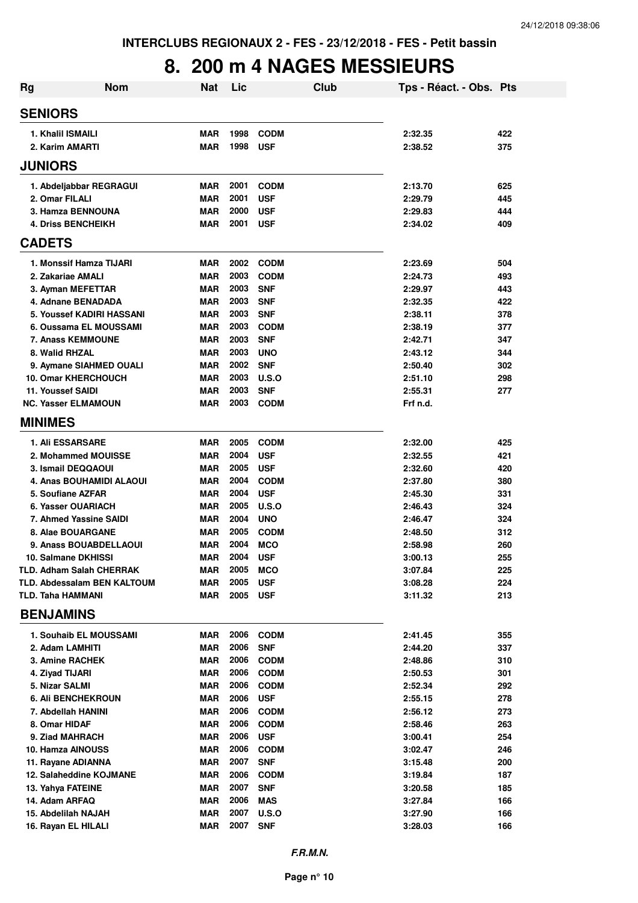## **8. 200 m 4 NAGES MESSIEURS**

| Rg                                   | <b>Nom</b>                         | <b>Nat</b>               | Lic          |                           | <b>Club</b> | Tps - Réact. - Obs. Pts |     |
|--------------------------------------|------------------------------------|--------------------------|--------------|---------------------------|-------------|-------------------------|-----|
| <b>SENIORS</b>                       |                                    |                          |              |                           |             |                         |     |
|                                      |                                    |                          | 1998         |                           |             |                         | 422 |
| 1. Khalil ISMAILI<br>2. Karim AMARTI |                                    | <b>MAR</b><br><b>MAR</b> | 1998         | <b>CODM</b><br><b>USF</b> |             | 2:32.35<br>2:38.52      | 375 |
| <b>JUNIORS</b>                       |                                    |                          |              |                           |             |                         |     |
|                                      |                                    |                          |              |                           |             |                         |     |
|                                      | 1. Abdeljabbar REGRAGUI            | <b>MAR</b>               | 2001         | <b>CODM</b>               |             | 2:13.70                 | 625 |
| 2. Omar FILALI                       |                                    | <b>MAR</b>               | 2001         | <b>USF</b>                |             | 2:29.79                 | 445 |
| 3. Hamza BENNOUNA                    |                                    | <b>MAR</b>               | 2000         | <b>USF</b>                |             | 2:29.83                 | 444 |
| <b>4. Driss BENCHEIKH</b>            |                                    | <b>MAR</b>               | 2001         | <b>USF</b>                |             | 2:34.02                 | 409 |
| <b>CADETS</b>                        |                                    |                          |              |                           |             |                         |     |
|                                      | 1. Monssif Hamza TIJARI            | <b>MAR</b>               | 2002         | <b>CODM</b>               |             | 2:23.69                 | 504 |
| 2. Zakariae AMALI                    |                                    | <b>MAR</b>               | 2003         | <b>CODM</b>               |             | 2:24.73                 | 493 |
| 3. Ayman MEFETTAR                    |                                    | <b>MAR</b>               | 2003         | <b>SNF</b>                |             | 2:29.97                 | 443 |
| 4. Adnane BENADADA                   |                                    | <b>MAR</b>               | 2003         | <b>SNF</b>                |             | 2:32.35                 | 422 |
|                                      | 5. Youssef KADIRI HASSANI          | <b>MAR</b>               | 2003         | <b>SNF</b>                |             | 2:38.11                 | 378 |
|                                      | 6. Oussama EL MOUSSAMI             | <b>MAR</b>               | 2003         | <b>CODM</b>               |             | 2:38.19                 | 377 |
| <b>7. Anass KEMMOUNE</b>             |                                    | <b>MAR</b>               | 2003         | <b>SNF</b>                |             | 2:42.71                 | 347 |
| 8. Walid RHZAL                       |                                    | <b>MAR</b>               | 2003         | <b>UNO</b>                |             | 2:43.12                 | 344 |
|                                      | 9. Aymane SIAHMED OUALI            | <b>MAR</b>               | 2002         | <b>SNF</b>                |             | 2:50.40                 | 302 |
| <b>10. Omar KHERCHOUCH</b>           |                                    | <b>MAR</b>               | 2003         | <b>U.S.O</b>              |             | 2:51.10                 | 298 |
| 11. Youssef SAIDI                    |                                    | <b>MAR</b>               | 2003         | <b>SNF</b>                |             | 2:55.31                 | 277 |
| <b>NC. Yasser ELMAMOUN</b>           |                                    | MAR                      | 2003         | <b>CODM</b>               |             | Frf n.d.                |     |
| <b>MINIMES</b>                       |                                    |                          |              |                           |             |                         |     |
| <b>1. Ali ESSARSARE</b>              |                                    | <b>MAR</b>               | 2005         | <b>CODM</b>               |             | 2:32.00                 | 425 |
|                                      | 2. Mohammed MOUISSE                | <b>MAR</b>               | 2004         | <b>USF</b>                |             | 2:32.55                 | 421 |
| 3. Ismail DEQQAOUI                   |                                    | <b>MAR</b>               | 2005         | <b>USF</b>                |             | 2:32.60                 | 420 |
|                                      | 4. Anas BOUHAMIDI ALAOUI           | <b>MAR</b>               | 2004         | <b>CODM</b>               |             | 2:37.80                 | 380 |
| 5. Soufiane AZFAR                    |                                    | <b>MAR</b>               | 2004         | <b>USF</b>                |             | 2:45.30                 | 331 |
| 6. Yasser OUARIACH                   |                                    | <b>MAR</b>               | 2005         | U.S.O                     |             | 2:46.43                 | 324 |
|                                      | 7. Ahmed Yassine SAIDI             | <b>MAR</b>               | 2004         | <b>UNO</b>                |             | 2:46.47                 | 324 |
| 8. Alae BOUARGANE                    |                                    | <b>MAR</b>               | 2005         | <b>CODM</b>               |             | 2:48.50                 | 312 |
|                                      | 9. Anass BOUABDELLAOUI             | <b>MAR</b>               | 2004         | <b>MCO</b>                |             | 2:58.98                 | 260 |
| 10. Salmane DKHISSI                  |                                    | MAR                      | 2004         | <b>USF</b>                |             | 3:00.13                 | 255 |
|                                      | <b>TLD. Adham Salah CHERRAK</b>    | <b>MAR</b>               | 2005         | <b>MCO</b>                |             | 3:07.84                 | 225 |
|                                      | <b>TLD. Abdessalam BEN KALTOUM</b> | <b>MAR</b>               | 2005<br>2005 | <b>USF</b>                |             | 3:08.28                 | 224 |
| <b>TLD. Taha HAMMANI</b>             |                                    | MAR                      |              | <b>USF</b>                |             | 3:11.32                 | 213 |
| <b>BENJAMINS</b>                     |                                    |                          |              |                           |             |                         |     |
|                                      | 1. Souhaib EL MOUSSAMI             | MAR                      | 2006         | <b>CODM</b>               |             | 2:41.45                 | 355 |
| 2. Adam LAMHITI                      |                                    | MAR                      | 2006         | <b>SNF</b>                |             | 2:44.20                 | 337 |
| 3. Amine RACHEK                      |                                    | MAR                      | 2006         | <b>CODM</b>               |             | 2:48.86                 | 310 |
| 4. Ziyad TIJARI                      |                                    | MAR                      | 2006         | <b>CODM</b>               |             | 2:50.53                 | 301 |
| 5. Nizar SALMI                       |                                    | MAR                      | 2006         | <b>CODM</b>               |             | 2:52.34                 | 292 |
| <b>6. Ali BENCHEKROUN</b>            |                                    | <b>MAR</b>               | 2006         | <b>USF</b>                |             | 2:55.15                 | 278 |
| 7. Abdellah HANINI                   |                                    | MAR                      | 2006         | <b>CODM</b>               |             | 2:56.12                 | 273 |
| 8. Omar HIDAF                        |                                    | MAR                      | 2006         | <b>CODM</b>               |             | 2:58.46                 | 263 |
| 9. Ziad MAHRACH                      |                                    | MAR                      | 2006         | <b>USF</b>                |             | 3:00.41                 | 254 |
| 10. Hamza AINOUSS                    |                                    | MAR                      | 2006         | <b>CODM</b>               |             | 3:02.47                 | 246 |
| 11. Rayane ADIANNA                   |                                    | MAR                      | 2007         | <b>SNF</b>                |             | 3:15.48                 | 200 |
|                                      | 12. Salaheddine KOJMANE            | MAR                      | 2006         | <b>CODM</b>               |             | 3:19.84                 | 187 |
| 13. Yahya FATEINE                    |                                    | <b>MAR</b>               | 2007         | <b>SNF</b>                |             | 3:20.58                 | 185 |
| 14. Adam ARFAQ                       |                                    | <b>MAR</b>               | 2006         | <b>MAS</b>                |             | 3:27.84                 | 166 |
| 15. Abdelilah NAJAH                  |                                    | <b>MAR</b>               | 2007         | <b>U.S.O</b>              |             | 3:27.90                 | 166 |
| 16. Rayan EL HILALI                  |                                    | <b>MAR</b>               | 2007         | <b>SNF</b>                |             | 3:28.03                 | 166 |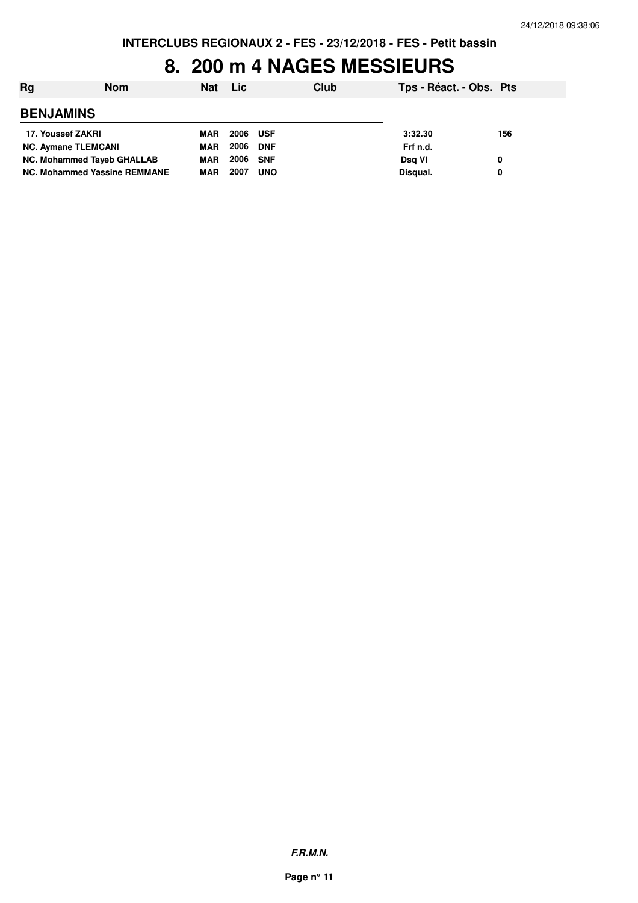### **8. 200 m 4 NAGES MESSIEURS**

| Rg                           | <b>Nom</b> | <b>Nat</b> | <b>Lic</b> |            | Club | Tps - Réact. - Obs. Pts |     |
|------------------------------|------------|------------|------------|------------|------|-------------------------|-----|
| <b>BENJAMINS</b>             |            |            |            |            |      |                         |     |
| 17. Youssef ZAKRI            |            | <b>MAR</b> | 2006 USF   |            |      | 3:32.30                 | 156 |
| <b>NC. Aymane TLEMCANI</b>   |            | <b>MAR</b> | 2006       | <b>DNF</b> |      | Frf n.d.                |     |
| NC. Mohammed Tayeb GHALLAB   |            | <b>MAR</b> | 2006 SNF   |            |      | Dsg VI                  | 0   |
| NC. Mohammed Yassine REMMANE |            | <b>MAR</b> | 2007       | <b>UNO</b> |      | Disqual.                | 0   |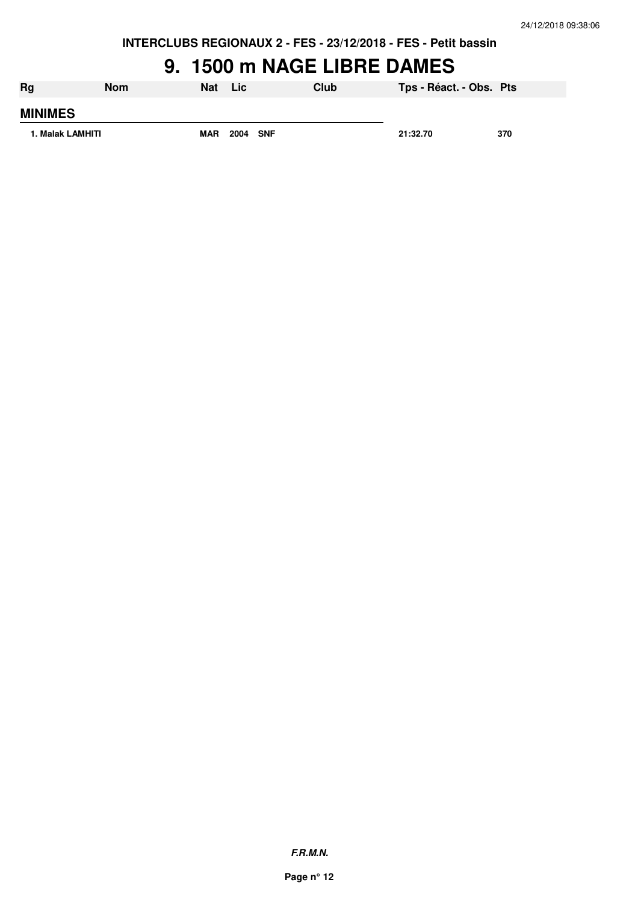## **9. 1500 m NAGE LIBRE DAMES**

| Rg               | <b>Nom</b> | <b>Nat</b> | <b>Lic</b> | Club | Tps - Réact. - Obs. Pts |     |
|------------------|------------|------------|------------|------|-------------------------|-----|
| <b>MINIMES</b>   |            |            |            |      |                         |     |
| 1. Malak LAMHITI |            | <b>MAR</b> | 2004 SNF   |      | 21:32.70                | 370 |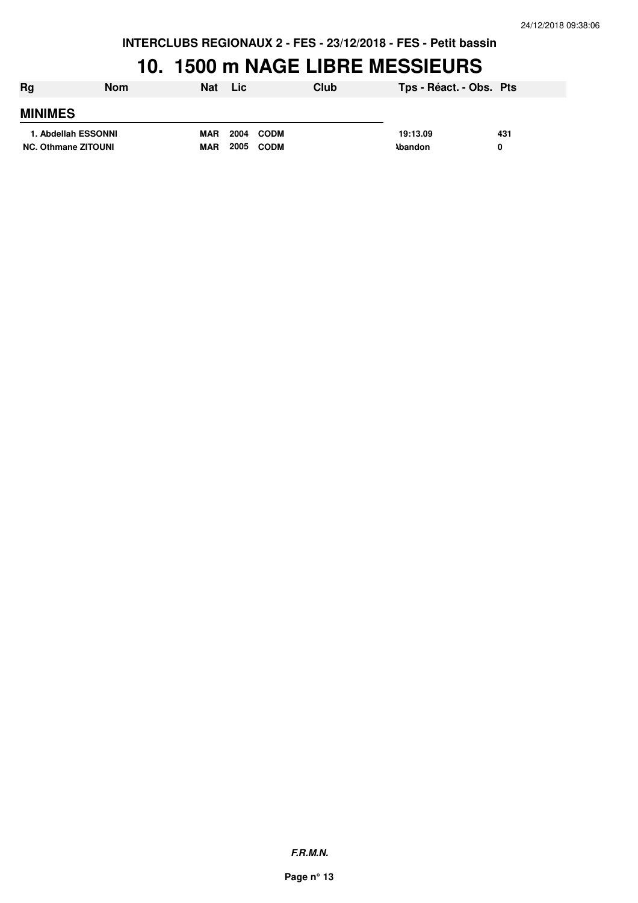## **10. 1500 m NAGE LIBRE MESSIEURS**

| Rg                         | <b>Nom</b>          | <b>Nat</b> | <b>Lic</b>          | Club | Tps - Réact. - Obs. Pts |     |
|----------------------------|---------------------|------------|---------------------|------|-------------------------|-----|
| <b>MINIMES</b>             |                     |            |                     |      |                         |     |
|                            | 1. Abdellah ESSONNI | <b>MAR</b> | 2004<br><b>CODM</b> |      | 19:13.09                | 431 |
| <b>NC. Othmane ZITOUNI</b> |                     | <b>MAR</b> | 2005<br><b>CODM</b> |      | <b>\bandon</b>          |     |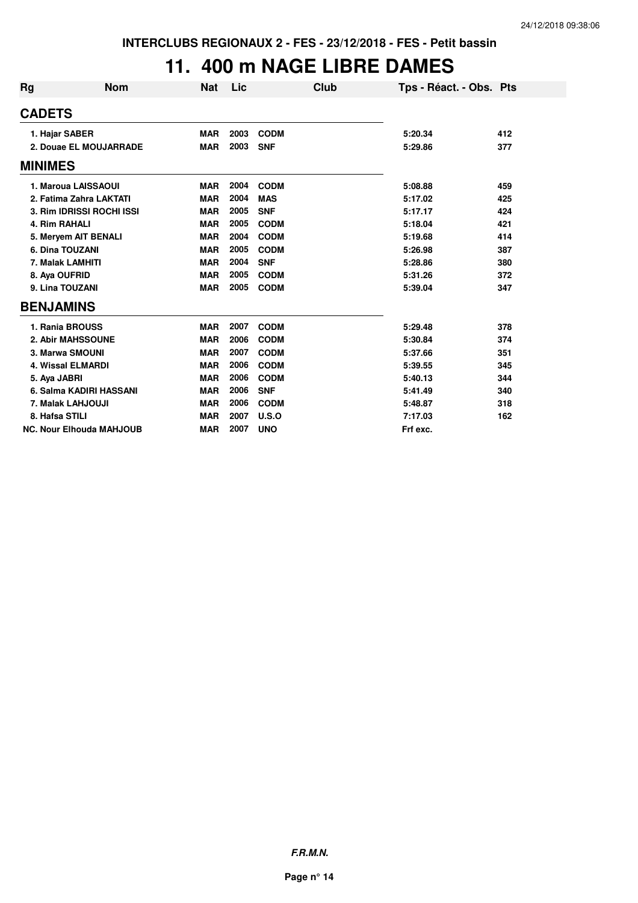## **11. 400 m NAGE LIBRE DAMES**

| Rg             | <b>Nom</b>                      | Nat        | Lic  | Club        | Tps - Réact. - Obs. Pts |     |
|----------------|---------------------------------|------------|------|-------------|-------------------------|-----|
| <b>CADETS</b>  |                                 |            |      |             |                         |     |
|                | 1. Hajar SABER                  | <b>MAR</b> | 2003 | <b>CODM</b> | 5:20.34                 | 412 |
|                | 2. Douae EL MOUJARRADE          | <b>MAR</b> | 2003 | <b>SNF</b>  | 5:29.86                 | 377 |
| <b>MINIMES</b> |                                 |            |      |             |                         |     |
|                | 1. Maroua LAISSAOUI             | <b>MAR</b> | 2004 | <b>CODM</b> | 5:08.88                 | 459 |
|                | 2. Fatima Zahra LAKTATI         | <b>MAR</b> | 2004 | <b>MAS</b>  | 5:17.02                 | 425 |
|                | 3. Rim IDRISSI ROCHI ISSI       | <b>MAR</b> | 2005 | <b>SNF</b>  | 5:17.17                 | 424 |
|                | 4. Rim RAHALI                   | <b>MAR</b> | 2005 | <b>CODM</b> | 5:18.04                 | 421 |
|                | 5. Meryem AIT BENALI            | <b>MAR</b> | 2004 | <b>CODM</b> | 5:19.68                 | 414 |
|                | 6. Dina TOUZANI                 | <b>MAR</b> | 2005 | <b>CODM</b> | 5:26.98                 | 387 |
|                | 7. Malak LAMHITI                | <b>MAR</b> | 2004 | <b>SNF</b>  | 5:28.86                 | 380 |
|                | 8. Aya OUFRID                   | <b>MAR</b> | 2005 | <b>CODM</b> | 5:31.26                 | 372 |
|                | 9. Lina TOUZANI                 | <b>MAR</b> | 2005 | <b>CODM</b> | 5:39.04                 | 347 |
|                | <b>BENJAMINS</b>                |            |      |             |                         |     |
|                | 1. Rania BROUSS                 | <b>MAR</b> | 2007 | <b>CODM</b> | 5:29.48                 | 378 |
|                | 2. Abir MAHSSOUNE               | <b>MAR</b> | 2006 | <b>CODM</b> | 5:30.84                 | 374 |
|                | 3. Marwa SMOUNI                 | <b>MAR</b> | 2007 | <b>CODM</b> | 5:37.66                 | 351 |
|                | <b>4. Wissal ELMARDI</b>        | <b>MAR</b> | 2006 | <b>CODM</b> | 5:39.55                 | 345 |
|                | 5. Aya JABRI                    | <b>MAR</b> | 2006 | <b>CODM</b> | 5:40.13                 | 344 |
|                | 6. Salma KADIRI HASSANI         | <b>MAR</b> | 2006 | <b>SNF</b>  | 5:41.49                 | 340 |
|                | 7. Malak LAHJOUJI               | <b>MAR</b> | 2006 | <b>CODM</b> | 5:48.87                 | 318 |
|                | 8. Hafsa STILI                  | <b>MAR</b> | 2007 | U.S.O       | 7:17.03                 | 162 |
|                | <b>NC. Nour Elhouda MAHJOUB</b> | <b>MAR</b> | 2007 | <b>UNO</b>  | Frf exc.                |     |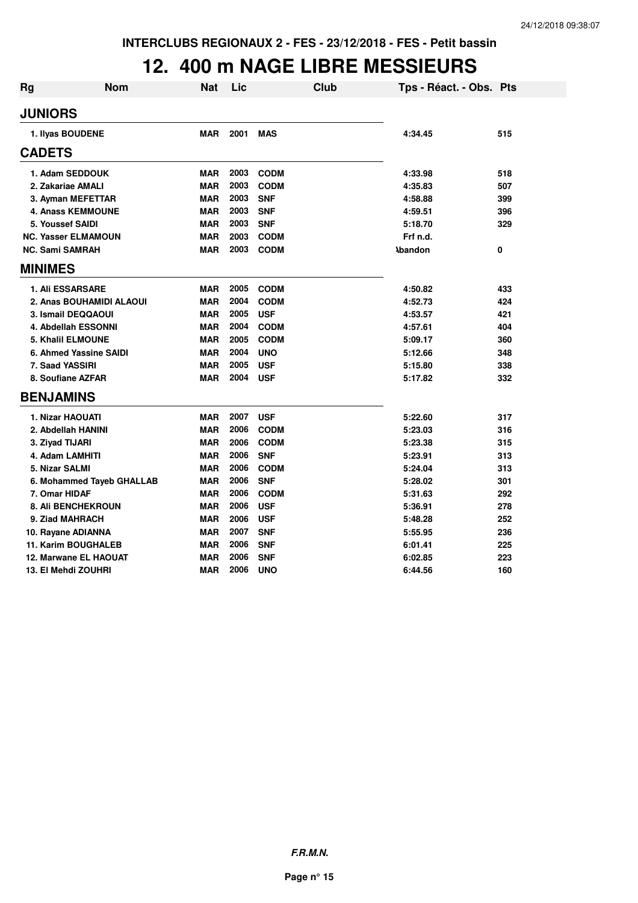## **12. 400 m NAGE LIBRE MESSIEURS**

| <b>Rg</b> | Nom                        | Nat        | Lic  | <b>Club</b> | Tps - Réact. - Obs. Pts |     |
|-----------|----------------------------|------------|------|-------------|-------------------------|-----|
|           | <b>JUNIORS</b>             |            |      |             |                         |     |
|           | 1. Ilyas BOUDENE           | <b>MAR</b> | 2001 | <b>MAS</b>  | 4:34.45                 | 515 |
|           | <b>CADETS</b>              |            |      |             |                         |     |
|           | 1. Adam SEDDOUK            | <b>MAR</b> | 2003 | <b>CODM</b> | 4:33.98                 | 518 |
|           | 2. Zakariae AMALI          | <b>MAR</b> | 2003 | <b>CODM</b> | 4:35.83                 | 507 |
|           | 3. Ayman MEFETTAR          | <b>MAR</b> | 2003 | <b>SNF</b>  | 4:58.88                 | 399 |
|           | <b>4. Anass KEMMOUNE</b>   | <b>MAR</b> | 2003 | <b>SNF</b>  | 4:59.51                 | 396 |
|           | 5. Youssef SAIDI           | <b>MAR</b> | 2003 | <b>SNF</b>  | 5:18.70                 | 329 |
|           | <b>NC. Yasser ELMAMOUN</b> | <b>MAR</b> | 2003 | <b>CODM</b> | Frf n.d.                |     |
|           | <b>NC. Sami SAMRAH</b>     | <b>MAR</b> | 2003 | <b>CODM</b> | <b>Abandon</b>          | 0   |
|           | <b>MINIMES</b>             |            |      |             |                         |     |
|           | 1. Ali ESSARSARE           | <b>MAR</b> | 2005 | <b>CODM</b> | 4:50.82                 | 433 |
|           | 2. Anas BOUHAMIDI ALAOUI   | <b>MAR</b> | 2004 | <b>CODM</b> | 4:52.73                 | 424 |
|           | 3. Ismail DEQQAOUI         | <b>MAR</b> | 2005 | <b>USF</b>  | 4:53.57                 | 421 |
|           | 4. Abdellah ESSONNI        | <b>MAR</b> | 2004 | <b>CODM</b> | 4:57.61                 | 404 |
|           | <b>5. Khalil ELMOUNE</b>   | <b>MAR</b> | 2005 | <b>CODM</b> | 5:09.17                 | 360 |
|           | 6. Ahmed Yassine SAIDI     | <b>MAR</b> | 2004 | <b>UNO</b>  | 5:12.66                 | 348 |
|           | 7. Saad YASSIRI            | <b>MAR</b> | 2005 | <b>USF</b>  | 5:15.80                 | 338 |
|           | 8. Soufiane AZFAR          | <b>MAR</b> | 2004 | <b>USF</b>  | 5:17.82                 | 332 |
|           | <b>BENJAMINS</b>           |            |      |             |                         |     |
|           | <b>1. Nizar HAOUATI</b>    | <b>MAR</b> | 2007 | <b>USF</b>  | 5:22.60                 | 317 |
|           | 2. Abdellah HANINI         | <b>MAR</b> | 2006 | <b>CODM</b> | 5:23.03                 | 316 |
|           | 3. Ziyad TIJARI            | <b>MAR</b> | 2006 | <b>CODM</b> | 5:23.38                 | 315 |
|           | 4. Adam LAMHITI            | <b>MAR</b> | 2006 | <b>SNF</b>  | 5:23.91                 | 313 |
|           | 5. Nizar SALMI             | <b>MAR</b> | 2006 | <b>CODM</b> | 5:24.04                 | 313 |
|           | 6. Mohammed Tayeb GHALLAB  | <b>MAR</b> | 2006 | <b>SNF</b>  | 5:28.02                 | 301 |
|           | 7. Omar HIDAF              | <b>MAR</b> | 2006 | <b>CODM</b> | 5:31.63                 | 292 |
|           | <b>8. Ali BENCHEKROUN</b>  | <b>MAR</b> | 2006 | <b>USF</b>  | 5:36.91                 | 278 |
|           | 9. Ziad MAHRACH            | <b>MAR</b> | 2006 | <b>USF</b>  | 5:48.28                 | 252 |
|           | 10. Rayane ADIANNA         | <b>MAR</b> | 2007 | <b>SNF</b>  | 5:55.95                 | 236 |
|           | <b>11. Karim BOUGHALEB</b> | <b>MAR</b> | 2006 | <b>SNF</b>  | 6:01.41                 | 225 |
|           | 12. Marwane EL HAOUAT      | <b>MAR</b> | 2006 | <b>SNF</b>  | 6:02.85                 | 223 |
|           | 13. El Mehdi ZOUHRI        | MAR        | 2006 | <b>UNO</b>  | 6:44.56                 | 160 |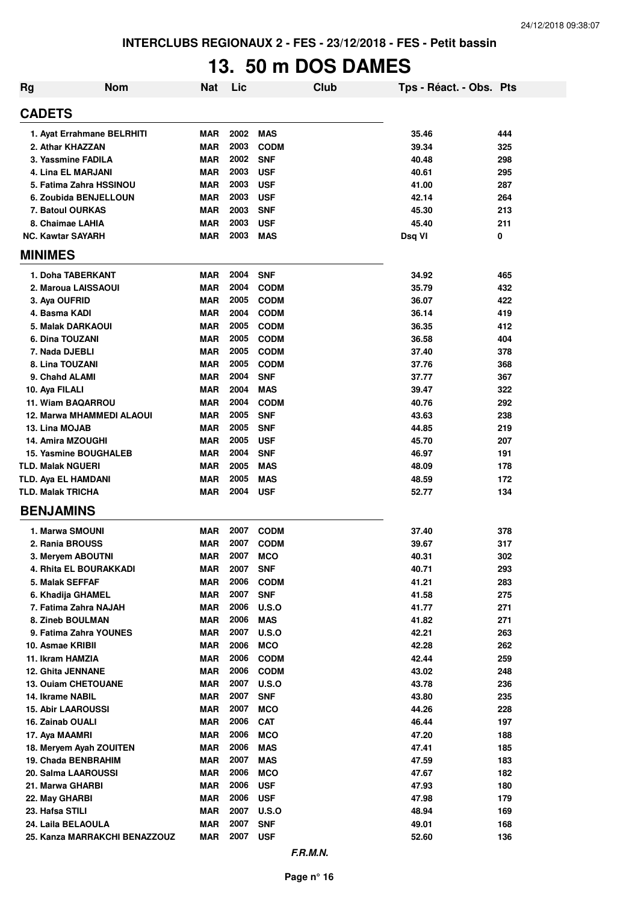# **13. 50 m DOS DAMES**

| <b>Rg</b> | <b>Nom</b>                                  | <b>Nat</b>        | Lic          |                           | <b>Club</b> | Tps - Réact. - Obs. Pts |            |
|-----------|---------------------------------------------|-------------------|--------------|---------------------------|-------------|-------------------------|------------|
|           | <b>CADETS</b>                               |                   |              |                           |             |                         |            |
|           | 1. Ayat Errahmane BELRHITI                  | MAR               | 2002         | MAS                       |             | 35.46                   | 444        |
|           | 2. Athar KHAZZAN                            | MAR               | 2003         | <b>CODM</b>               |             | 39.34                   | 325        |
|           | 3. Yassmine FADILA                          | <b>MAR</b>        | 2002         | <b>SNF</b>                |             | 40.48                   | 298        |
|           | 4. Lina EL MARJANI                          | <b>MAR</b>        | 2003         | <b>USF</b>                |             | 40.61                   | 295        |
|           | 5. Fatima Zahra HSSINOU                     | <b>MAR</b>        | 2003         | <b>USF</b>                |             | 41.00                   | 287        |
|           | 6. Zoubida BENJELLOUN                       | <b>MAR</b>        | 2003         | <b>USF</b>                |             | 42.14                   | 264        |
|           | 7. Batoul OURKAS                            | <b>MAR</b>        | 2003         | <b>SNF</b>                |             | 45.30                   | 213        |
|           | 8. Chaimae LAHIA                            | <b>MAR</b>        | 2003         | <b>USF</b>                |             | 45.40                   | 211        |
|           | <b>NC. Kawtar SAYARH</b>                    | <b>MAR</b>        | 2003         | <b>MAS</b>                |             | Dsq VI                  | 0          |
|           | <b>MINIMES</b>                              |                   |              |                           |             |                         |            |
|           | 1. Doha TABERKANT                           | <b>MAR</b>        | 2004         | <b>SNF</b>                |             | 34.92                   | 465        |
|           | 2. Maroua LAISSAOUI                         | MAR               | 2004         | <b>CODM</b>               |             | 35.79                   | 432        |
|           | 3. Aya OUFRID                               | <b>MAR</b>        | 2005         | <b>CODM</b>               |             | 36.07                   | 422        |
|           | 4. Basma KADI                               | MAR               | 2004         | <b>CODM</b>               |             | 36.14                   | 419        |
|           | 5. Malak DARKAOUI                           | MAR               | 2005         | <b>CODM</b>               |             | 36.35                   | 412        |
|           | 6. Dina TOUZANI                             | <b>MAR</b>        | 2005         | <b>CODM</b>               |             | 36.58                   | 404        |
|           | 7. Nada DJEBLI                              | <b>MAR</b>        | 2005         | <b>CODM</b>               |             | 37.40                   | 378        |
|           | 8. Lina TOUZANI                             | MAR               | 2005         | <b>CODM</b>               |             | 37.76                   | 368        |
|           | 9. Chahd ALAMI                              | MAR               | 2004         | <b>SNF</b>                |             | 37.77                   | 367        |
|           | 10. Aya FILALI                              | MAR               | 2004         | <b>MAS</b>                |             | 39.47                   | 322        |
|           | 11. Wiam BAQARROU                           | MAR               | 2004         | <b>CODM</b>               |             | 40.76                   | 292        |
|           | 12. Marwa MHAMMEDI ALAOUI                   | MAR               | 2005<br>2005 | <b>SNF</b><br><b>SNF</b>  |             | 43.63                   | 238        |
|           | 13. Lina MOJAB<br>14. Amira MZOUGHI         | MAR<br>MAR        | 2005         | <b>USF</b>                |             | 44.85<br>45.70          | 219<br>207 |
|           | <b>15. Yasmine BOUGHALEB</b>                | MAR               | 2004         | <b>SNF</b>                |             | 46.97                   | 191        |
|           | <b>TLD. Malak NGUERI</b>                    | MAR               | 2005         | <b>MAS</b>                |             | 48.09                   | 178        |
|           | <b>TLD. Aya EL HAMDANI</b>                  | MAR               | 2005         | <b>MAS</b>                |             | 48.59                   | 172        |
|           | <b>TLD. Malak TRICHA</b>                    | MAR               | 2004         | <b>USF</b>                |             | 52.77                   | 134        |
|           | <b>BENJAMINS</b>                            |                   |              |                           |             |                         |            |
|           |                                             |                   |              |                           |             |                         |            |
|           | 1. Marwa SMOUNI                             | <b>MAR</b>        | 2007         | <b>CODM</b>               |             | 37.40                   | 378        |
|           | 2. Rania BROUSS                             | MAR               | 2007         | <b>CODM</b>               |             | 39.67                   | 317        |
|           | 3. Meryem ABOUTNI<br>4. Rhita EL BOURAKKADI | MAR               | 2007         | <b>MCO</b>                |             | 40.31                   | 302        |
|           | 5. Malak SEFFAF                             | MAR<br><b>MAR</b> | 2007<br>2006 | <b>SNF</b><br><b>CODM</b> |             | 40.71<br>41.21          | 293<br>283 |
|           | 6. Khadija GHAMEL                           | <b>MAR</b>        | 2007         | <b>SNF</b>                |             | 41.58                   | 275        |
|           | 7. Fatima Zahra NAJAH                       | MAR               | 2006         | <b>U.S.O</b>              |             | 41.77                   | 271        |
|           | 8. Zineb BOULMAN                            | <b>MAR</b>        | 2006         | <b>MAS</b>                |             | 41.82                   | 271        |
|           | 9. Fatima Zahra YOUNES                      | <b>MAR</b>        | 2007         | <b>U.S.O</b>              |             | 42.21                   | 263        |
|           | 10. Asmae KRIBII                            | <b>MAR</b>        | 2006         | <b>MCO</b>                |             | 42.28                   | 262        |
|           | 11. Ikram HAMZIA                            | <b>MAR</b>        | 2006         | <b>CODM</b>               |             | 42.44                   | 259        |
|           | 12. Ghita JENNANE                           | <b>MAR</b>        | 2006         | <b>CODM</b>               |             | 43.02                   | 248        |
|           | 13. Ouiam CHETOUANE                         | <b>MAR</b>        | 2007         | <b>U.S.O</b>              |             | 43.78                   | 236        |
|           | 14. Ikrame NABIL                            | <b>MAR</b>        | 2007         | <b>SNF</b>                |             | 43.80                   | 235        |
|           | <b>15. Abir LAAROUSSI</b>                   | <b>MAR</b>        | 2007         | <b>MCO</b>                |             | 44.26                   | 228        |
|           | 16. Zainab OUALI                            | <b>MAR</b>        | 2006         | <b>CAT</b>                |             | 46.44                   | 197        |
|           | 17. Aya MAAMRI                              | <b>MAR</b>        | 2006         | <b>MCO</b>                |             | 47.20                   | 188        |
|           | 18. Meryem Ayah ZOUITEN                     | <b>MAR</b>        | 2006         | <b>MAS</b>                |             | 47.41                   | 185        |
|           | 19. Chada BENBRAHIM                         | <b>MAR</b>        | 2007         | <b>MAS</b>                |             | 47.59                   | 183        |
|           | 20. Salma LAAROUSSI                         | <b>MAR</b>        | 2006         | <b>MCO</b>                |             | 47.67                   | 182        |
|           | 21. Marwa GHARBI                            | <b>MAR</b>        | 2006         | <b>USF</b>                |             | 47.93                   | 180        |
|           | 22. May GHARBI                              | <b>MAR</b>        | 2006         | <b>USF</b>                |             | 47.98                   | 179        |
|           | 23. Hafsa STILI                             | <b>MAR</b>        | 2007         | <b>U.S.O</b>              |             | 48.94                   | 169        |
|           | 24. Laila BELAOULA                          | <b>MAR</b>        | 2007         | <b>SNF</b>                |             | 49.01                   | 168        |
|           | 25. Kanza MARRAKCHI BENAZZOUZ               | <b>MAR</b>        | 2007         | <b>USF</b>                |             | 52.60                   | 136        |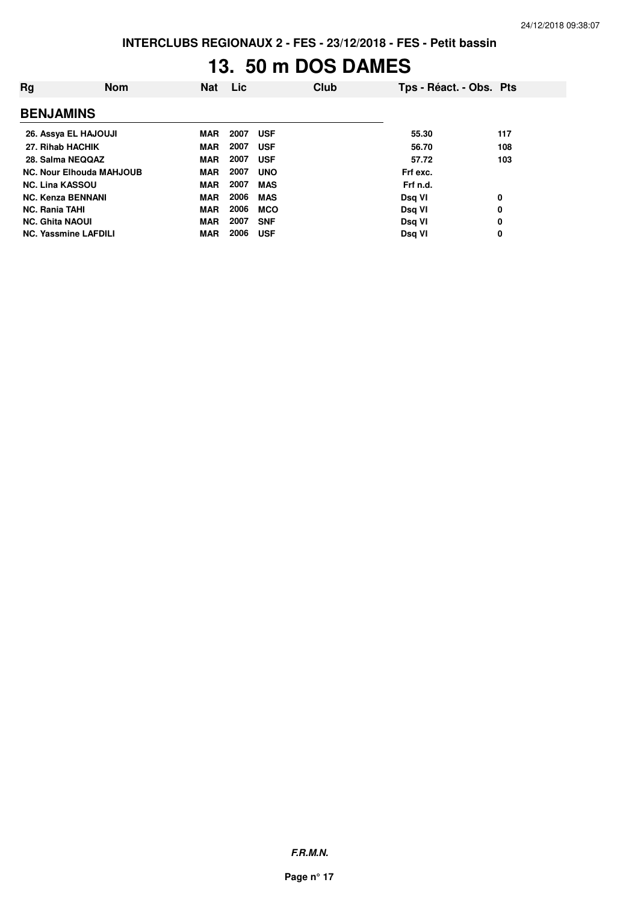# **13. 50 m DOS DAMES**

| Rg                          | <b>Nom</b>                      | <b>Nat</b> | <b>Lic</b> |            | Club | Tps - Réact. - Obs. Pts |     |
|-----------------------------|---------------------------------|------------|------------|------------|------|-------------------------|-----|
| <b>BENJAMINS</b>            |                                 |            |            |            |      |                         |     |
| 26. Assya EL HAJOUJI        |                                 | <b>MAR</b> | 2007       | <b>USF</b> |      | 55.30                   | 117 |
| 27. Rihab HACHIK            |                                 | <b>MAR</b> | 2007       | <b>USF</b> |      | 56.70                   | 108 |
| 28. Salma NEQQAZ            |                                 | <b>MAR</b> | 2007       | <b>USF</b> |      | 57.72                   | 103 |
|                             | <b>NC. Nour Elhouda MAHJOUB</b> | <b>MAR</b> | 2007       | <b>UNO</b> |      | Frf exc.                |     |
| <b>NC. Lina KASSOU</b>      |                                 | <b>MAR</b> | 2007       | <b>MAS</b> |      | Frf n.d.                |     |
| <b>NC. Kenza BENNANI</b>    |                                 | <b>MAR</b> | 2006       | <b>MAS</b> |      | Dsg VI                  | 0   |
| <b>NC. Rania TAHI</b>       |                                 | <b>MAR</b> | 2006       | <b>MCO</b> |      | Dsg VI                  | 0   |
| <b>NC. Ghita NAOUI</b>      |                                 | <b>MAR</b> | 2007       | <b>SNF</b> |      | Dsg VI                  | 0   |
| <b>NC. Yassmine LAFDILI</b> |                                 | <b>MAR</b> | 2006       | <b>USF</b> |      | Dsg VI                  | 0   |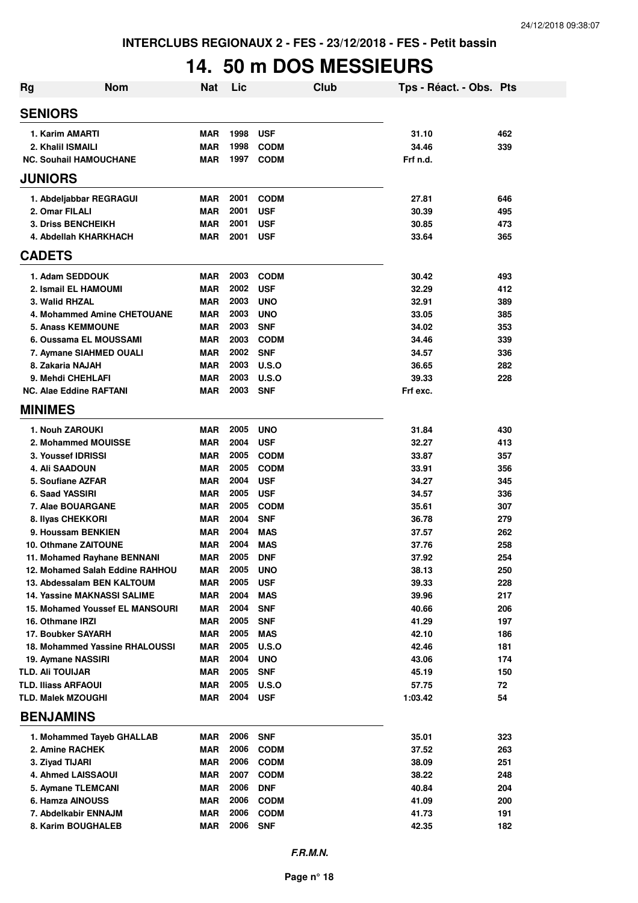# **14. 50 m DOS MESSIEURS**

| <b>Rg</b>               | <b>Nom</b>                              | <b>Nat</b>               | Lic          |                          | <b>Club</b> | Tps - Réact. - Obs. Pts |            |
|-------------------------|-----------------------------------------|--------------------------|--------------|--------------------------|-------------|-------------------------|------------|
| <b>SENIORS</b>          |                                         |                          |              |                          |             |                         |            |
|                         | 1. Karim AMARTI                         | MAR                      | 1998         | <b>USF</b>               |             | 31.10                   | 462        |
|                         | 2. Khalil ISMAILI                       | <b>MAR</b>               | 1998         | <b>CODM</b>              |             | 34.46                   | 339        |
|                         | <b>NC. Souhail HAMOUCHANE</b>           | MAR                      | 1997         | <b>CODM</b>              |             | Frf n.d.                |            |
| <b>JUNIORS</b>          |                                         |                          |              |                          |             |                         |            |
|                         | 1. Abdeljabbar REGRAGUI                 | <b>MAR</b>               | 2001         | <b>CODM</b>              |             | 27.81                   | 646        |
|                         | 2. Omar FILALI                          | <b>MAR</b>               | 2001         | <b>USF</b>               |             | 30.39                   | 495        |
|                         | <b>3. Driss BENCHEIKH</b>               | <b>MAR</b>               | 2001         | <b>USF</b>               |             | 30.85                   | 473        |
|                         | 4. Abdellah KHARKHACH                   | MAR                      | 2001         | <b>USF</b>               |             | 33.64                   | 365        |
| <b>CADETS</b>           |                                         |                          |              |                          |             |                         |            |
|                         | 1. Adam SEDDOUK                         | <b>MAR</b>               | 2003         | <b>CODM</b>              |             | 30.42                   | 493        |
|                         | 2. Ismail EL HAMOUMI                    | <b>MAR</b>               | 2002         | <b>USF</b>               |             | 32.29                   | 412        |
|                         | 3. Walid RHZAL                          | <b>MAR</b>               | 2003         | <b>UNO</b>               |             | 32.91                   | 389        |
|                         | 4. Mohammed Amine CHETOUANE             | <b>MAR</b>               | 2003         | <b>UNO</b>               |             | 33.05                   | 385        |
|                         | <b>5. Anass KEMMOUNE</b>                | <b>MAR</b>               | 2003         | <b>SNF</b>               |             | 34.02                   | 353        |
|                         | 6. Oussama EL MOUSSAMI                  | <b>MAR</b>               | 2003         | <b>CODM</b>              |             | 34.46                   | 339        |
|                         | 7. Aymane SIAHMED OUALI                 | <b>MAR</b>               | 2002         | <b>SNF</b>               |             | 34.57                   | 336        |
|                         | 8. Zakaria NAJAH                        | <b>MAR</b>               | 2003         | U.S.O                    |             | 36.65                   | 282        |
|                         | 9. Mehdi CHEHLAFI                       | <b>MAR</b>               | 2003         | U.S.O                    |             | 39.33                   | 228        |
|                         | <b>NC. Alae Eddine RAFTANI</b>          | <b>MAR</b>               | 2003         | <b>SNF</b>               |             | Frf exc.                |            |
| <b>MINIMES</b>          |                                         |                          |              |                          |             |                         |            |
|                         | 1. Nouh ZAROUKI                         | <b>MAR</b>               | 2005         | <b>UNO</b>               |             | 31.84                   | 430        |
|                         | 2. Mohammed MOUISSE                     | <b>MAR</b>               | 2004         | <b>USF</b>               |             | 32.27                   | 413        |
|                         | 3. Youssef IDRISSI                      | <b>MAR</b>               | 2005         | <b>CODM</b>              |             | 33.87                   | 357        |
|                         | <b>4. Ali SAADOUN</b>                   | <b>MAR</b>               | 2005         | <b>CODM</b>              |             | 33.91                   | 356        |
|                         | 5. Soufiane AZFAR                       | <b>MAR</b>               | 2004         | <b>USF</b>               |             | 34.27                   | 345        |
|                         | 6. Saad YASSIRI                         | <b>MAR</b>               | 2005         | <b>USF</b>               |             | 34.57                   | 336        |
|                         | 7. Alae BOUARGANE                       | <b>MAR</b>               | 2005         | <b>CODM</b>              |             | 35.61                   | 307        |
|                         | 8. Ilyas CHEKKORI<br>9. Houssam BENKIEN | <b>MAR</b>               | 2004<br>2004 | <b>SNF</b>               |             | 36.78                   | 279        |
|                         | <b>10. Othmane ZAITOUNE</b>             | <b>MAR</b><br><b>MAR</b> | 2004         | <b>MAS</b><br><b>MAS</b> |             | 37.57<br>37.76          | 262<br>258 |
|                         | 11. Mohamed Rayhane BENNANI             | <b>MAR</b>               | 2005         | <b>DNF</b>               |             | 37.92                   | 254        |
|                         | 12. Mohamed Salah Eddine RAHHOU         | MAR                      | 2005         | <b>UNO</b>               |             | 38.13                   | 250        |
|                         | 13. Abdessalam BEN KALTOUM              | <b>MAR</b>               | 2005         | <b>USF</b>               |             | 39.33                   | 228        |
|                         | <b>14. Yassine MAKNASSI SALIME</b>      | <b>MAR</b>               | 2004         | MAS                      |             | 39.96                   | 217        |
|                         | <b>15. Mohamed Youssef EL MANSOURI</b>  | <b>MAR</b>               | 2004         | <b>SNF</b>               |             | 40.66                   | 206        |
|                         | 16. Othmane IRZI                        | <b>MAR</b>               | 2005         | <b>SNF</b>               |             | 41.29                   | 197        |
|                         | 17. Boubker SAYARH                      | <b>MAR</b>               | 2005         | <b>MAS</b>               |             | 42.10                   | 186        |
|                         | 18. Mohammed Yassine RHALOUSSI          | <b>MAR</b>               | 2005         | <b>U.S.O</b>             |             | 42.46                   | 181        |
|                         | 19. Aymane NASSIRI                      | <b>MAR</b>               | 2004         | <b>UNO</b>               |             | 43.06                   | 174        |
| <b>TLD. AII TOUIJAR</b> |                                         | <b>MAR</b>               | 2005         | <b>SNF</b>               |             | 45.19                   | 150        |
|                         | <b>TLD. Iliass ARFAOUI</b>              | <b>MAR</b>               | 2005         | <b>U.S.O</b>             |             | 57.75                   | 72         |
|                         | <b>TLD. Malek MZOUGHI</b>               | <b>MAR</b>               | 2004         | <b>USF</b>               |             | 1:03.42                 | 54         |
|                         | <b>BENJAMINS</b>                        |                          |              |                          |             |                         |            |
|                         | 1. Mohammed Tayeb GHALLAB               | MAR                      | 2006         | <b>SNF</b>               |             | 35.01                   | 323        |
|                         | 2. Amine RACHEK                         | MAR                      | 2006         | <b>CODM</b>              |             | 37.52                   | 263        |
|                         | 3. Ziyad TIJARI                         | <b>MAR</b>               | 2006         | <b>CODM</b>              |             | 38.09                   | 251        |
|                         | 4. Ahmed LAISSAOUI                      | <b>MAR</b>               | 2007         | <b>CODM</b>              |             | 38.22                   | 248        |
|                         | 5. Aymane TLEMCANI                      | <b>MAR</b>               | 2006         | <b>DNF</b>               |             | 40.84                   | 204        |
|                         | 6. Hamza AINOUSS                        | <b>MAR</b>               | 2006         | <b>CODM</b>              |             | 41.09                   | 200        |
|                         | 7. Abdelkabir ENNAJM                    | <b>MAR</b>               | 2006         | <b>CODM</b>              |             | 41.73                   | 191        |
|                         | 8. Karim BOUGHALEB                      | <b>MAR</b>               | 2006         | <b>SNF</b>               |             | 42.35                   | 182        |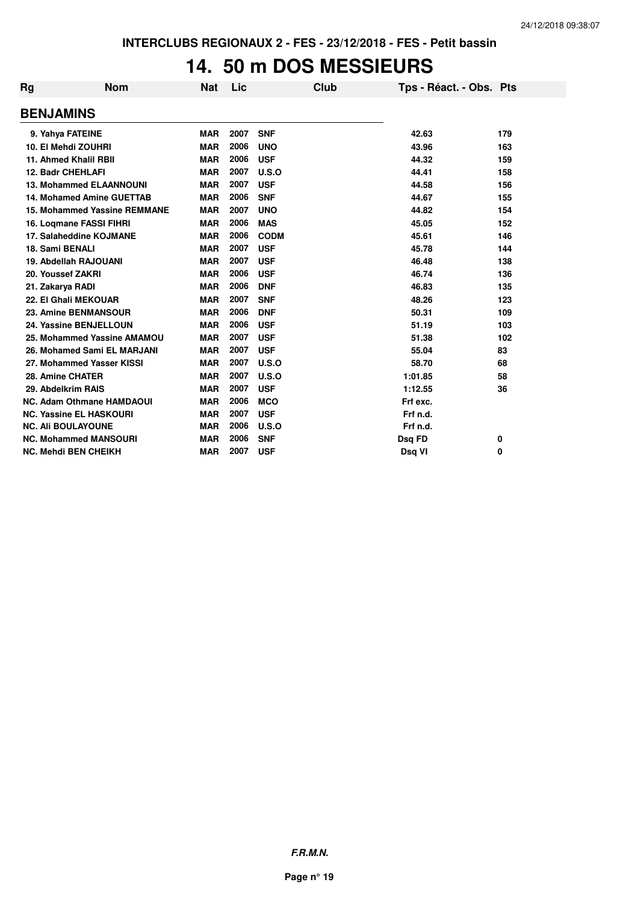## **14. 50 m DOS MESSIEURS**

| <b>Rg</b>        | <b>Nom</b>                          | <b>Nat</b> | Lic  | Club        | Tps - Réact. - Obs. Pts |     |
|------------------|-------------------------------------|------------|------|-------------|-------------------------|-----|
| <b>BENJAMINS</b> |                                     |            |      |             |                         |     |
|                  | 9. Yahya FATEINE                    | <b>MAR</b> | 2007 | <b>SNF</b>  | 42.63                   | 179 |
|                  | 10. El Mehdi ZOUHRI                 | <b>MAR</b> | 2006 | <b>UNO</b>  | 43.96                   | 163 |
|                  | 11. Ahmed Khalil RBII               | <b>MAR</b> | 2006 | <b>USF</b>  | 44.32                   | 159 |
|                  | <b>12. Badr CHEHLAFI</b>            | <b>MAR</b> | 2007 | U.S.O       | 44.41                   | 158 |
|                  | <b>13. Mohammed ELAANNOUNI</b>      | <b>MAR</b> | 2007 | <b>USF</b>  | 44.58                   | 156 |
|                  | <b>14. Mohamed Amine GUETTAB</b>    | <b>MAR</b> | 2006 | <b>SNF</b>  | 44.67                   | 155 |
|                  | <b>15. Mohammed Yassine REMMANE</b> | <b>MAR</b> | 2007 | <b>UNO</b>  | 44.82                   | 154 |
|                  | 16. Logmane FASSI FIHRI             | <b>MAR</b> | 2006 | <b>MAS</b>  | 45.05                   | 152 |
|                  | 17. Salaheddine KOJMANE             | <b>MAR</b> | 2006 | <b>CODM</b> | 45.61                   | 146 |
| 18. Sami BENALI  |                                     | <b>MAR</b> | 2007 | <b>USF</b>  | 45.78                   | 144 |
|                  | 19. Abdellah RAJOUANI               | <b>MAR</b> | 2007 | <b>USF</b>  | 46.48                   | 138 |
|                  | 20. Youssef ZAKRI                   | <b>MAR</b> | 2006 | <b>USF</b>  | 46.74                   | 136 |
| 21. Zakarya RADI |                                     | <b>MAR</b> | 2006 | <b>DNF</b>  | 46.83                   | 135 |
|                  | 22. El Ghali MEKOUAR                | <b>MAR</b> | 2007 | <b>SNF</b>  | 48.26                   | 123 |
|                  | 23. Amine BENMANSOUR                | <b>MAR</b> | 2006 | <b>DNF</b>  | 50.31                   | 109 |
|                  | 24. Yassine BENJELLOUN              | <b>MAR</b> | 2006 | <b>USF</b>  | 51.19                   | 103 |
|                  | 25. Mohammed Yassine AMAMOU         | <b>MAR</b> | 2007 | <b>USF</b>  | 51.38                   | 102 |
|                  | 26. Mohamed Sami EL MARJANI         | <b>MAR</b> | 2007 | <b>USF</b>  | 55.04                   | 83  |
|                  | 27. Mohammed Yasser KISSI           | <b>MAR</b> | 2007 | U.S.O       | 58.70                   | 68  |
|                  | 28. Amine CHATER                    | <b>MAR</b> | 2007 | U.S.O       | 1:01.85                 | 58  |
|                  | 29. Abdelkrim RAIS                  | <b>MAR</b> | 2007 | <b>USF</b>  | 1:12.55                 | 36  |
|                  | <b>NC. Adam Othmane HAMDAOUI</b>    | <b>MAR</b> | 2006 | <b>MCO</b>  | Frf exc.                |     |
|                  | <b>NC. Yassine EL HASKOURI</b>      | <b>MAR</b> | 2007 | <b>USF</b>  | Frf n.d.                |     |
|                  | <b>NC. Ali BOULAYOUNE</b>           | <b>MAR</b> | 2006 | U.S.O       | Frf n.d.                |     |
|                  | <b>NC. Mohammed MANSOURI</b>        | <b>MAR</b> | 2006 | <b>SNF</b>  | Dsq FD                  | 0   |
|                  | <b>NC. Mehdi BEN CHEIKH</b>         | <b>MAR</b> | 2007 | <b>USF</b>  | Dsg VI                  | 0   |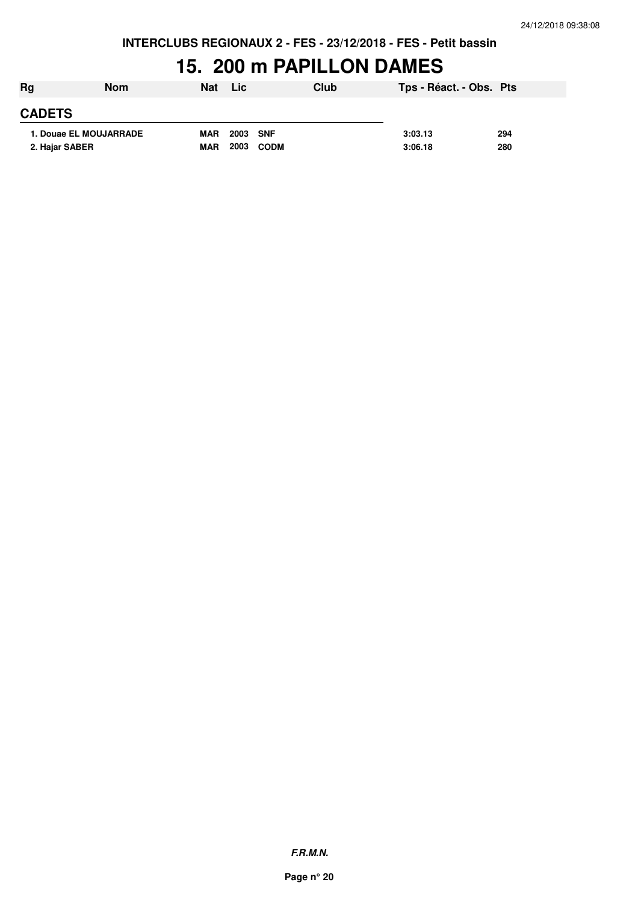## **15. 200 m PAPILLON DAMES**

| Rg             | <b>Nom</b>             | <b>Nat</b> | Lic          | Club | Tps - Réact. - Obs. Pts |     |
|----------------|------------------------|------------|--------------|------|-------------------------|-----|
| <b>CADETS</b>  |                        |            |              |      |                         |     |
|                | 1. Douae EL MOUJARRADE | <b>MAR</b> | 2003 SNF     |      | 3:03.13                 | 294 |
| 2. Hajar SABER |                        | <b>MAR</b> | 2003<br>CODM |      | 3:06.18                 | 280 |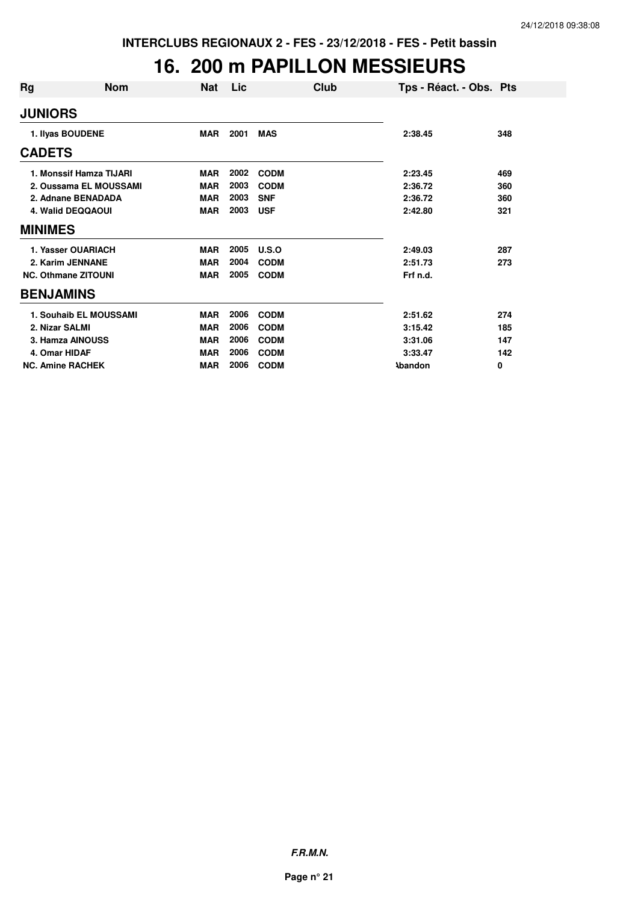## **16. 200 m PAPILLON MESSIEURS**

| Rg               | <b>Nom</b>                 | <b>Nat</b> | Lic  | Club        | Tps - Réact. - Obs. Pts |     |
|------------------|----------------------------|------------|------|-------------|-------------------------|-----|
| <b>JUNIORS</b>   |                            |            |      |             |                         |     |
|                  | 1. Ilyas BOUDENE           | <b>MAR</b> | 2001 | <b>MAS</b>  | 2:38.45                 | 348 |
| <b>CADETS</b>    |                            |            |      |             |                         |     |
|                  | 1. Monssif Hamza TIJARI    | <b>MAR</b> | 2002 | <b>CODM</b> | 2:23.45                 | 469 |
|                  | 2. Oussama EL MOUSSAMI     | <b>MAR</b> | 2003 | <b>CODM</b> | 2:36.72                 | 360 |
|                  | 2. Adnane BENADADA         | <b>MAR</b> | 2003 | <b>SNF</b>  | 2:36.72                 | 360 |
|                  | <b>4. Walid DEQQAOUI</b>   | <b>MAR</b> | 2003 | <b>USF</b>  | 2:42.80                 | 321 |
| <b>MINIMES</b>   |                            |            |      |             |                         |     |
|                  | 1. Yasser OUARIACH         | <b>MAR</b> | 2005 | U.S.O       | 2:49.03                 | 287 |
|                  | 2. Karim JENNANE           | <b>MAR</b> | 2004 | <b>CODM</b> | 2:51.73                 | 273 |
|                  | <b>NC. Othmane ZITOUNI</b> | <b>MAR</b> | 2005 | <b>CODM</b> | Frf n.d.                |     |
| <b>BENJAMINS</b> |                            |            |      |             |                         |     |
|                  | 1. Souhaib EL MOUSSAMI     | <b>MAR</b> | 2006 | <b>CODM</b> | 2:51.62                 | 274 |
| 2. Nizar SALMI   |                            | <b>MAR</b> | 2006 | <b>CODM</b> | 3:15.42                 | 185 |
|                  | 3. Hamza AINOUSS           | <b>MAR</b> | 2006 | <b>CODM</b> | 3:31.06                 | 147 |
| 4. Omar HIDAF    |                            | <b>MAR</b> | 2006 | <b>CODM</b> | 3:33.47                 | 142 |
|                  | <b>NC. Amine RACHEK</b>    | <b>MAR</b> | 2006 | <b>CODM</b> | <b>\bandon</b>          | 0   |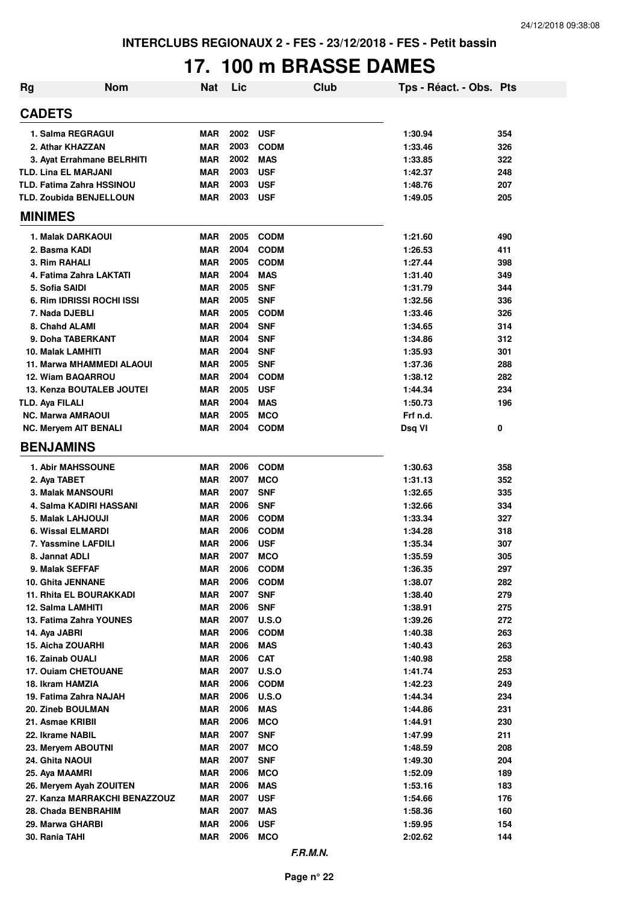# **17. 100 m BRASSE DAMES**

| <b>Rg</b>                                    | <b>Nom</b>                    | Nat                      | Lic          |                          | <b>Club</b> | Tps - Réact. - Obs. Pts |            |
|----------------------------------------------|-------------------------------|--------------------------|--------------|--------------------------|-------------|-------------------------|------------|
| <b>CADETS</b>                                |                               |                          |              |                          |             |                         |            |
| 1. Salma REGRAGUI                            |                               | <b>MAR</b>               | 2002         | <b>USF</b>               |             | 1:30.94                 | 354        |
| 2. Athar KHAZZAN                             |                               | <b>MAR</b>               | 2003         | <b>CODM</b>              |             | 1:33.46                 | 326        |
|                                              | 3. Ayat Errahmane BELRHITI    | <b>MAR</b>               | 2002         | <b>MAS</b>               |             | 1:33.85                 | 322        |
| <b>TLD. Lina EL MARJANI</b>                  |                               | <b>MAR</b>               | 2003         | <b>USF</b>               |             | 1:42.37                 | 248        |
| <b>TLD. Fatima Zahra HSSINOU</b>             |                               | <b>MAR</b>               | 2003         | <b>USF</b>               |             | 1:48.76                 | 207        |
| <b>TLD. Zoubida BENJELLOUN</b>               |                               | <b>MAR</b>               | 2003         | <b>USF</b>               |             | 1:49.05                 | 205        |
| <b>MINIMES</b>                               |                               |                          |              |                          |             |                         |            |
| 1. Malak DARKAOUI                            |                               | MAR                      | 2005         | <b>CODM</b>              |             | 1:21.60                 | 490        |
| 2. Basma KADI                                |                               | <b>MAR</b>               | 2004         | <b>CODM</b>              |             | 1:26.53                 | 411        |
| 3. Rim RAHALI                                |                               | <b>MAR</b>               | 2005         | <b>CODM</b>              |             | 1:27.44                 | 398        |
| 4. Fatima Zahra LAKTATI                      |                               | <b>MAR</b>               | 2004         | <b>MAS</b>               |             | 1:31.40                 | 349        |
| 5. Sofia SAIDI                               |                               | <b>MAR</b>               | 2005         | <b>SNF</b>               |             | 1:31.79                 | 344        |
| 6. Rim IDRISSI ROCHI ISSI                    |                               | <b>MAR</b>               | 2005         | <b>SNF</b>               |             | 1:32.56                 | 336        |
| 7. Nada DJEBLI                               |                               | MAR                      | 2005         | <b>CODM</b>              |             | 1:33.46                 | 326        |
| 8. Chahd ALAMI                               |                               | <b>MAR</b>               | 2004         | <b>SNF</b>               |             | 1:34.65                 | 314        |
| 9. Doha TABERKANT                            |                               | <b>MAR</b>               | 2004         | <b>SNF</b>               |             | 1:34.86                 | 312        |
| 10. Malak LAMHITI                            |                               | <b>MAR</b>               | 2004         | <b>SNF</b>               |             | 1:35.93                 | 301        |
|                                              | 11. Marwa MHAMMEDI ALAOUI     | <b>MAR</b>               | 2005         | <b>SNF</b>               |             | 1:37.36                 | 288        |
| 12. Wiam BAQARROU                            |                               | <b>MAR</b>               | 2004         | <b>CODM</b>              |             | 1:38.12                 | 282        |
| 13. Kenza BOUTALEB JOUTEI                    |                               | <b>MAR</b>               | 2005         | <b>USF</b>               |             | 1:44.34                 | 234        |
| <b>TLD. Aya FILALI</b>                       |                               | <b>MAR</b>               | 2004         | <b>MAS</b>               |             | 1:50.73                 | 196        |
| <b>NC. Marwa AMRAOUI</b>                     |                               | <b>MAR</b>               | 2005<br>2004 | <b>MCO</b>               |             | Frf n.d.                |            |
| <b>NC. Meryem AIT BENALI</b>                 |                               | <b>MAR</b>               |              | <b>CODM</b>              |             | Dsq VI                  | 0          |
| <b>BENJAMINS</b>                             |                               |                          |              |                          |             |                         |            |
| <b>1. Abir MAHSSOUNE</b>                     |                               | <b>MAR</b>               | 2006         | <b>CODM</b>              |             | 1:30.63                 | 358        |
| 2. Aya TABET                                 |                               | <b>MAR</b>               | 2007         | <b>MCO</b>               |             | 1:31.13                 | 352        |
| <b>3. Malak MANSOURI</b>                     |                               | <b>MAR</b>               | 2007         | <b>SNF</b>               |             | 1:32.65                 | 335        |
| 4. Salma KADIRI HASSANI                      |                               | <b>MAR</b>               | 2006         | <b>SNF</b>               |             | 1:32.66                 | 334        |
| 5. Malak LAHJOUJI                            |                               | <b>MAR</b>               | 2006         | <b>CODM</b>              |             | 1:33.34                 | 327        |
| 6. Wissal ELMARDI                            |                               | <b>MAR</b>               | 2006         | <b>CODM</b>              |             | 1:34.28                 | 318        |
| 7. Yassmine LAFDILI                          |                               | <b>MAR</b>               | 2006         | <b>USF</b>               |             | 1:35.34                 | 307        |
| 8. Jannat ADLI                               |                               | MAR                      | 2007         | <b>MCO</b>               |             | 1:35.59                 | 305        |
| 9. Malak SEFFAF                              |                               | <b>MAR</b>               | 2006<br>2006 | <b>CODM</b>              |             | 1:36.35                 | 297        |
| 10. Ghita JENNANE                            |                               | <b>MAR</b><br><b>MAR</b> | 2007         | <b>CODM</b>              |             | 1:38.07                 | 282<br>279 |
| 11. Rhita EL BOURAKKADI<br>12. Salma LAMHITI |                               | <b>MAR</b>               | 2006         | <b>SNF</b><br><b>SNF</b> |             | 1:38.40<br>1:38.91      |            |
| 13. Fatima Zahra YOUNES                      |                               | <b>MAR</b>               | 2007         | <b>U.S.O</b>             |             | 1:39.26                 | 275<br>272 |
| 14. Aya JABRI                                |                               | <b>MAR</b>               | 2006         | <b>CODM</b>              |             | 1:40.38                 | 263        |
| 15. Aicha ZOUARHI                            |                               | <b>MAR</b>               | 2006         | <b>MAS</b>               |             | 1:40.43                 | 263        |
| 16. Zainab OUALI                             |                               | <b>MAR</b>               | 2006         | <b>CAT</b>               |             | 1:40.98                 | 258        |
| 17. Ouiam CHETOUANE                          |                               | <b>MAR</b>               | 2007         | U.S.O                    |             | 1:41.74                 | 253        |
| 18. Ikram HAMZIA                             |                               | <b>MAR</b>               | 2006         | <b>CODM</b>              |             | 1:42.23                 | 249        |
| 19. Fatima Zahra NAJAH                       |                               | <b>MAR</b>               | 2006         | <b>U.S.O</b>             |             | 1:44.34                 | 234        |
| 20. Zineb BOULMAN                            |                               | <b>MAR</b>               | 2006         | <b>MAS</b>               |             | 1:44.86                 | 231        |
| 21. Asmae KRIBII                             |                               | <b>MAR</b>               | 2006         | <b>MCO</b>               |             | 1:44.91                 | 230        |
| 22. Ikrame NABIL                             |                               | <b>MAR</b>               | 2007         | <b>SNF</b>               |             | 1:47.99                 | 211        |
| 23. Meryem ABOUTNI                           |                               | <b>MAR</b>               | 2007         | <b>MCO</b>               |             | 1:48.59                 | 208        |
| 24. Ghita NAOUI                              |                               | <b>MAR</b>               | 2007         | <b>SNF</b>               |             | 1:49.30                 | 204        |
| 25. Aya MAAMRI                               |                               | <b>MAR</b>               | 2006         | <b>MCO</b>               |             | 1:52.09                 | 189        |
| 26. Meryem Ayah ZOUITEN                      |                               | <b>MAR</b>               | 2006         | <b>MAS</b>               |             | 1:53.16                 | 183        |
|                                              | 27. Kanza MARRAKCHI BENAZZOUZ | <b>MAR</b>               | 2007         | <b>USF</b>               |             | 1:54.66                 | 176        |
| 28. Chada BENBRAHIM                          |                               | <b>MAR</b>               | 2007         | <b>MAS</b>               |             | 1:58.36                 | 160        |
| 29. Marwa GHARBI                             |                               | <b>MAR</b>               | 2006         | <b>USF</b>               |             | 1:59.95                 | 154        |
| 30. Rania TAHI                               |                               | <b>MAR</b>               | 2006         | <b>MCO</b>               |             | 2:02.62                 | 144        |
|                                              |                               |                          |              |                          |             |                         |            |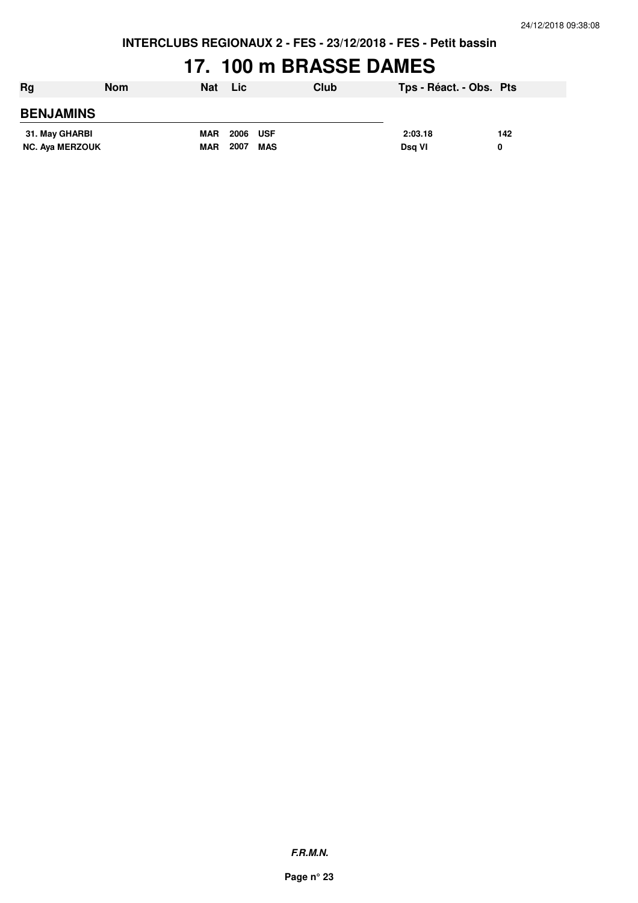**INTERCLUBS REGIONAUX 2 - FES - 23/12/2018 - FES - Petit bassin**

## **17. 100 m BRASSE DAMES**

| Rg                     | Nom | Nat        | <b>Lic</b> |     | Club | Tps - Réact. - Obs. Pts |     |
|------------------------|-----|------------|------------|-----|------|-------------------------|-----|
| <b>BENJAMINS</b>       |     |            |            |     |      |                         |     |
| 31. May GHARBI         |     | <b>MAR</b> | 2006 USF   |     |      | 2:03.18                 | 142 |
| <b>NC. Aya MERZOUK</b> |     | <b>MAR</b> | 2007       | MAS |      | Dsg VI                  | 0   |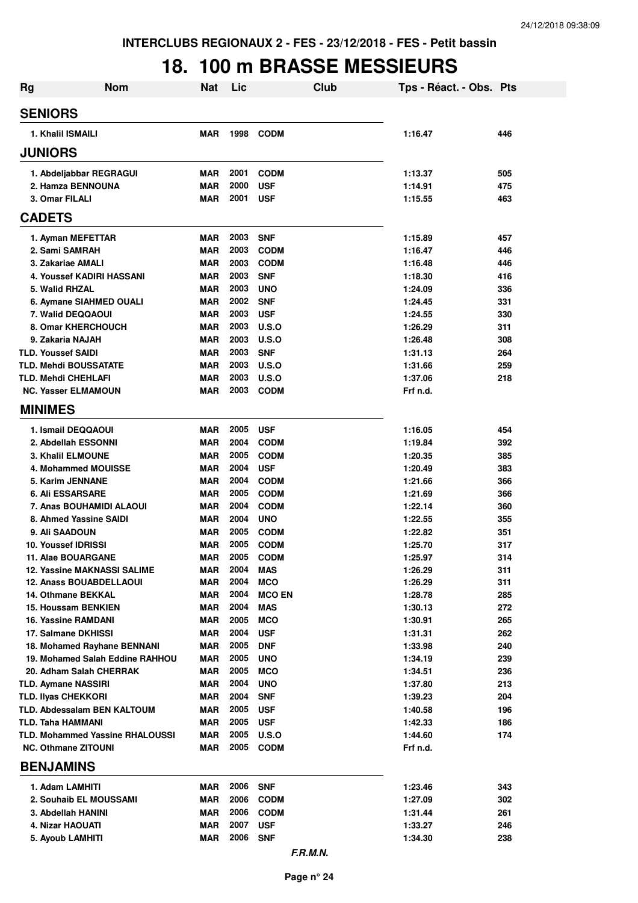## **18. 100 m BRASSE MESSIEURS**

| <b>Rg</b>                      | <b>Nom</b>                             | <b>Nat</b>               | Lic          | Club                     | Tps - Réact. - Obs. Pts |            |
|--------------------------------|----------------------------------------|--------------------------|--------------|--------------------------|-------------------------|------------|
| <b>SENIORS</b>                 |                                        |                          |              |                          |                         |            |
| 1. Khalil ISMAILI              |                                        | <b>MAR</b>               | 1998         | <b>CODM</b>              | 1:16.47                 | 446        |
| <b>JUNIORS</b>                 |                                        |                          |              |                          |                         |            |
| 1. Abdeljabbar REGRAGUI        |                                        | MAR                      | 2001         | <b>CODM</b>              | 1:13.37                 | 505        |
| 2. Hamza BENNOUNA              |                                        | <b>MAR</b>               | 2000         | <b>USF</b>               | 1:14.91                 | 475        |
| 3. Omar FILALI                 |                                        | <b>MAR</b>               | 2001         | <b>USF</b>               | 1:15.55                 | 463        |
| <b>CADETS</b>                  |                                        |                          |              |                          |                         |            |
| 1. Ayman MEFETTAR              |                                        | MAR                      | 2003         | <b>SNF</b>               | 1:15.89                 | 457        |
| 2. Sami SAMRAH                 |                                        | <b>MAR</b>               | 2003         | <b>CODM</b>              | 1:16.47                 | 446        |
| 3. Zakariae AMALI              |                                        | <b>MAR</b>               | 2003         | <b>CODM</b>              | 1:16.48                 | 446        |
|                                | 4. Youssef KADIRI HASSANI              | <b>MAR</b>               | 2003         | <b>SNF</b>               | 1:18.30                 | 416        |
| 5. Walid RHZAL                 |                                        | <b>MAR</b>               | 2003         | <b>UNO</b>               | 1:24.09                 | 336        |
|                                | 6. Aymane SIAHMED OUALI                | <b>MAR</b>               | 2002         | <b>SNF</b>               | 1:24.45                 | 331        |
| 7. Walid DEQQAOUI              |                                        | <b>MAR</b>               | 2003         | <b>USF</b>               | 1:24.55                 | 330        |
| 8. Omar KHERCHOUCH             |                                        | <b>MAR</b>               | 2003         | U.S.O                    | 1:26.29                 | 311        |
| 9. Zakaria NAJAH               |                                        | <b>MAR</b>               | 2003         | U.S.O                    | 1:26.48                 | 308        |
| <b>TLD. Youssef SAIDI</b>      |                                        | <b>MAR</b>               | 2003         | <b>SNF</b>               | 1:31.13                 | 264        |
| <b>TLD. Mehdi BOUSSATATE</b>   |                                        | <b>MAR</b>               | 2003         | U.S.O                    | 1:31.66                 | 259        |
| TLD. Mehdi CHEHLAFI            |                                        | MAR                      | 2003         | U.S.O                    | 1:37.06                 | 218        |
| <b>NC. Yasser ELMAMOUN</b>     |                                        | <b>MAR</b>               | 2003         | <b>CODM</b>              | Frf n.d.                |            |
| <b>MINIMES</b>                 |                                        |                          |              |                          |                         |            |
| 1. Ismail DEQQAOUI             |                                        | <b>MAR</b>               | 2005         | <b>USF</b>               | 1:16.05                 | 454        |
| 2. Abdellah ESSONNI            |                                        | <b>MAR</b>               | 2004         | <b>CODM</b>              | 1:19.84                 | 392        |
| <b>3. Khalil ELMOUNE</b>       |                                        | <b>MAR</b>               | 2005         | <b>CODM</b>              | 1:20.35                 | 385        |
| 4. Mohammed MOUISSE            |                                        | <b>MAR</b>               | 2004         | <b>USF</b>               | 1:20.49                 | 383        |
| 5. Karim JENNANE               |                                        | <b>MAR</b>               | 2004         | <b>CODM</b>              | 1:21.66                 | 366        |
| <b>6. Ali ESSARSARE</b>        |                                        | MAR                      | 2005         | <b>CODM</b>              | 1:21.69                 | 366        |
|                                | 7. Anas BOUHAMIDI ALAOUI               | MAR                      | 2004         | <b>CODM</b>              | 1:22.14                 | 360        |
| 8. Ahmed Yassine SAIDI         |                                        | MAR                      | 2004         | <b>UNO</b>               | 1:22.55                 | 355        |
| 9. Ali SAADOUN                 |                                        | <b>MAR</b>               | 2005         | <b>CODM</b>              | 1:22.82                 | 351        |
| <b>10. Youssef IDRISSI</b>     |                                        | MAR                      | 2005         | <b>CODM</b>              | 1:25.70                 | 317        |
| 11. Alae BOUARGANE             |                                        | MAR                      | 2005         | <b>CODM</b>              | 1:25.97                 | 314        |
|                                | <b>12. Yassine MAKNASSI SALIME</b>     | MAR                      | 2004         | <b>MAS</b>               | 1:26.29                 | 311        |
| <b>12. Anass BOUABDELLAOUI</b> |                                        | MAR                      | 2004         | <b>MCO</b>               | 1:26.29                 | 311        |
| 14. Othmane BEKKAL             |                                        | MAR                      | 2004         | <b>MCO EN</b>            | 1:28.78                 | 285        |
| <b>15. Houssam BENKIEN</b>     |                                        | <b>MAR</b>               | 2004         | <b>MAS</b>               | 1:30.13                 | 272        |
| 16. Yassine RAMDANI            |                                        | <b>MAR</b>               | 2005<br>2004 | <b>MCO</b>               | 1:30.91                 | 265        |
| 17. Salmane DKHISSI            | 18. Mohamed Rayhane BENNANI            | <b>MAR</b><br><b>MAR</b> | 2005         | <b>USF</b><br><b>DNF</b> | 1:31.31<br>1:33.98      | 262<br>240 |
|                                | 19. Mohamed Salah Eddine RAHHOU        | <b>MAR</b>               | 2005         | <b>UNO</b>               | 1:34.19                 | 239        |
| 20. Adham Salah CHERRAK        |                                        | <b>MAR</b>               | 2005         | <b>MCO</b>               | 1:34.51                 | 236        |
| <b>TLD. Aymane NASSIRI</b>     |                                        | <b>MAR</b>               | 2004         | <b>UNO</b>               | 1:37.80                 | 213        |
| <b>TLD. Ilyas CHEKKORI</b>     |                                        | <b>MAR</b>               | 2004         | <b>SNF</b>               | 1:39.23                 | 204        |
|                                | TLD. Abdessalam BEN KALTOUM            | <b>MAR</b>               | 2005         | <b>USF</b>               | 1:40.58                 | 196        |
| TLD. Taha HAMMANI              |                                        | MAR                      | 2005         | <b>USF</b>               | 1:42.33                 | 186        |
|                                | <b>TLD. Mohammed Yassine RHALOUSSI</b> | <b>MAR</b>               | 2005         | <b>U.S.O</b>             | 1:44.60                 | 174        |
| <b>NC. Othmane ZITOUNI</b>     |                                        | <b>MAR</b>               | 2005         | <b>CODM</b>              | Frf n.d.                |            |
| <b>BENJAMINS</b>               |                                        |                          |              |                          |                         |            |
| 1. Adam LAMHITI                |                                        | <b>MAR</b>               | 2006         | <b>SNF</b>               | 1:23.46                 | 343        |
| 2. Souhaib EL MOUSSAMI         |                                        | MAR                      | 2006         | <b>CODM</b>              | 1:27.09                 | 302        |
| 3. Abdellah HANINI             |                                        | MAR                      | 2006         | <b>CODM</b>              | 1:31.44                 | 261        |
| 4. Nizar HAOUATI               |                                        | MAR                      | 2007         | <b>USF</b>               | 1:33.27                 | 246        |
| 5. Ayoub LAMHITI               |                                        | <b>MAR</b>               | 2006         | <b>SNF</b>               | 1:34.30                 | 238        |
|                                |                                        |                          |              | F.R.M.N.                 |                         |            |